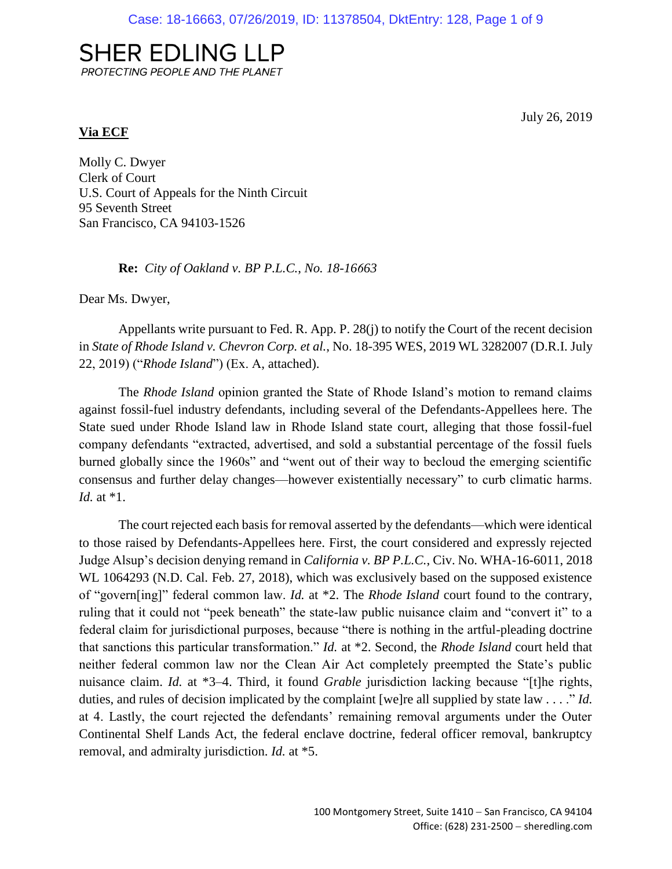# **SHER EDLING LLP** PROTECTING PEOPLE AND THE PLANET

July 26, 2019

### **Via ECF**

Molly C. Dwyer Clerk of Court U.S. Court of Appeals for the Ninth Circuit 95 Seventh Street San Francisco, CA 94103-1526

**Re:** *City of Oakland v. BP P.L.C.*, *No. 18-16663*

Dear Ms. Dwyer,

Appellants write pursuant to Fed. R. App. P. 28(j) to notify the Court of the recent decision in *State of Rhode Island v. Chevron Corp. et al.*, No. 18-395 WES, 2019 WL 3282007 (D.R.I. July 22, 2019) ("*Rhode Island*") (Ex. A, attached).

The *Rhode Island* opinion granted the State of Rhode Island's motion to remand claims against fossil-fuel industry defendants, including several of the Defendants-Appellees here. The State sued under Rhode Island law in Rhode Island state court, alleging that those fossil-fuel company defendants "extracted, advertised, and sold a substantial percentage of the fossil fuels burned globally since the 1960s" and "went out of their way to becloud the emerging scientific consensus and further delay changes—however existentially necessary" to curb climatic harms. *Id.* at \*1.

The court rejected each basis for removal asserted by the defendants—which were identical to those raised by Defendants-Appellees here. First, the court considered and expressly rejected Judge Alsup's decision denying remand in *California v. BP P.L.C.*, Civ. No. WHA-16-6011, 2018 WL 1064293 (N.D. Cal. Feb. 27, 2018), which was exclusively based on the supposed existence of "govern[ing]" federal common law. *Id.* at \*2. The *Rhode Island* court found to the contrary, ruling that it could not "peek beneath" the state-law public nuisance claim and "convert it" to a federal claim for jurisdictional purposes, because "there is nothing in the artful-pleading doctrine that sanctions this particular transformation." *Id.* at \*2. Second, the *Rhode Island* court held that neither federal common law nor the Clean Air Act completely preempted the State's public nuisance claim. *Id.* at \*3–4. Third, it found *Grable* jurisdiction lacking because "[t]he rights, duties, and rules of decision implicated by the complaint [we]re all supplied by state law . . . ." *Id.* at 4. Lastly, the court rejected the defendants' remaining removal arguments under the Outer Continental Shelf Lands Act, the federal enclave doctrine, federal officer removal, bankruptcy removal, and admiralty jurisdiction. *Id.* at \*5.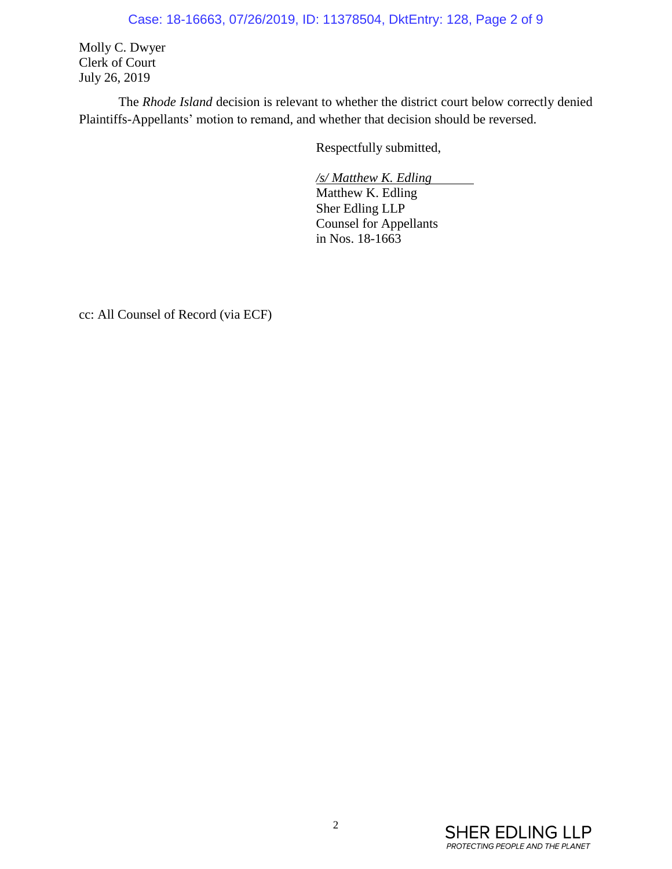## Case: 18-16663, 07/26/2019, ID: 11378504, DktEntry: 128, Page 2 of 9

Molly C. Dwyer Clerk of Court July 26, 2019

The *Rhode Island* decision is relevant to whether the district court below correctly denied Plaintiffs-Appellants' motion to remand, and whether that decision should be reversed.

Respectfully submitted,

*/s/ Matthew K. Edling*  Matthew K. Edling Sher Edling LLP Counsel for Appellants in Nos. 18-1663

cc: All Counsel of Record (via ECF)

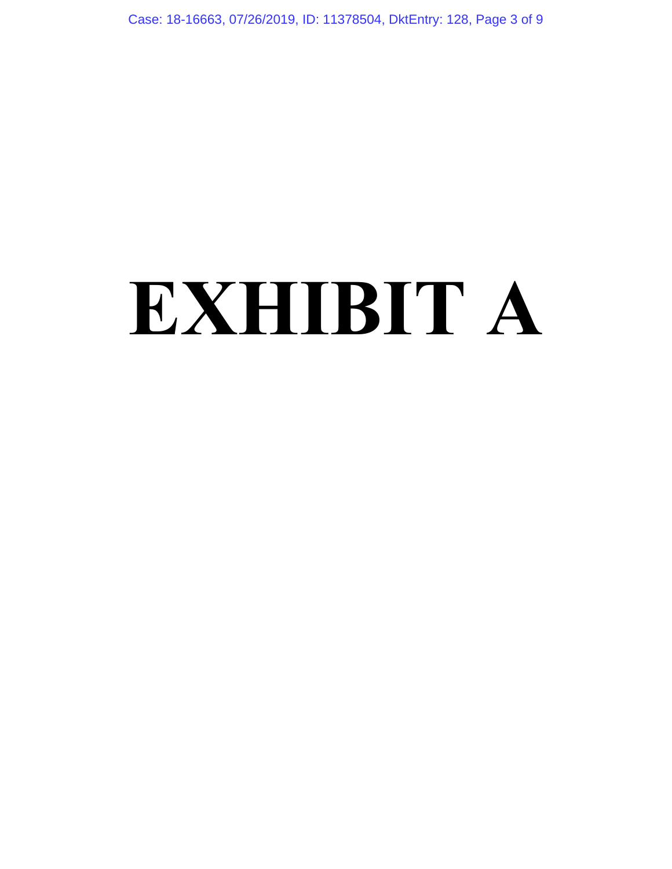Case: 18-16663, 07/26/2019, ID: 11378504, DktEntry: 128, Page 3 of 9

# **EXHIBIT A**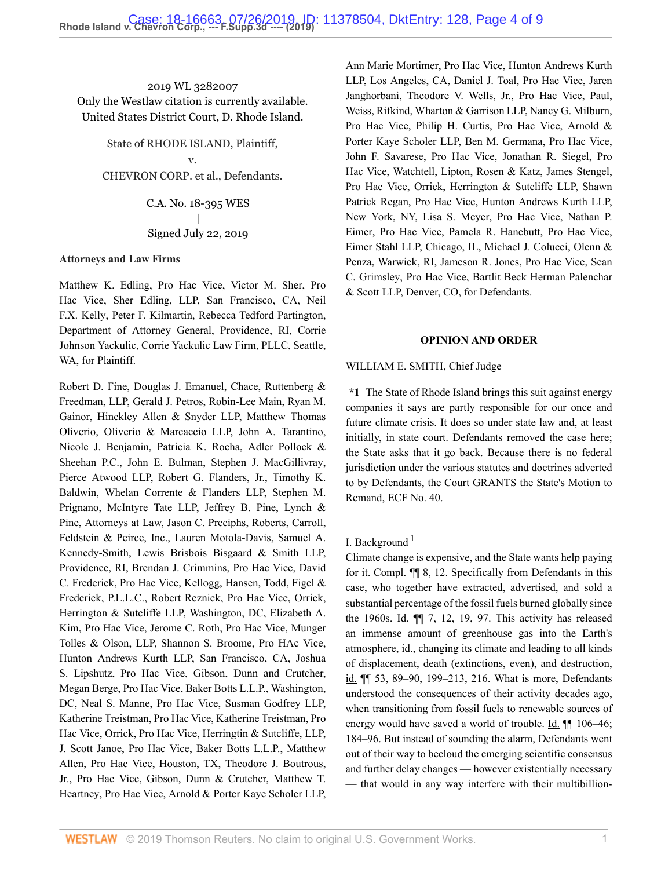2019 WL 3282007 Only the Westlaw citation is currently available. United States District Court, D. Rhode Island.

State of RHODE ISLAND, Plaintiff, v. CHEVRON CORP. et al., Defendants.

> C.A. No. 18-395 WES | Signed July 22, 2019

#### **Attorneys and Law Firms**

[Matthew K. Edling](http://www.westlaw.com/Link/Document/FullText?findType=h&pubNum=176284&cite=0401657601&originatingDoc=If1c91c40acc311e981b9f3f7c11376fd&refType=RQ&originationContext=document&vr=3.0&rs=cblt1.0&transitionType=DocumentItem&contextData=(sc.Search)), Pro Hac Vice, [Victor M. Sher](http://www.westlaw.com/Link/Document/FullText?findType=h&pubNum=176284&cite=0288291601&originatingDoc=If1c91c40acc311e981b9f3f7c11376fd&refType=RQ&originationContext=document&vr=3.0&rs=cblt1.0&transitionType=DocumentItem&contextData=(sc.Search)), Pro Hac Vice, Sher Edling, LLP, San Francisco, CA, [Neil](http://www.westlaw.com/Link/Document/FullText?findType=h&pubNum=176284&cite=0179131801&originatingDoc=If1c91c40acc311e981b9f3f7c11376fd&refType=RQ&originationContext=document&vr=3.0&rs=cblt1.0&transitionType=DocumentItem&contextData=(sc.Search)) [F.X. Kelly](http://www.westlaw.com/Link/Document/FullText?findType=h&pubNum=176284&cite=0179131801&originatingDoc=If1c91c40acc311e981b9f3f7c11376fd&refType=RQ&originationContext=document&vr=3.0&rs=cblt1.0&transitionType=DocumentItem&contextData=(sc.Search)), [Peter F. Kilmartin](http://www.westlaw.com/Link/Document/FullText?findType=h&pubNum=176284&cite=0466879401&originatingDoc=If1c91c40acc311e981b9f3f7c11376fd&refType=RQ&originationContext=document&vr=3.0&rs=cblt1.0&transitionType=DocumentItem&contextData=(sc.Search)), [Rebecca Tedford Partington](http://www.westlaw.com/Link/Document/FullText?findType=h&pubNum=176284&cite=0283143101&originatingDoc=If1c91c40acc311e981b9f3f7c11376fd&refType=RQ&originationContext=document&vr=3.0&rs=cblt1.0&transitionType=DocumentItem&contextData=(sc.Search)), Department of Attorney General, Providence, RI, [Corrie](http://www.westlaw.com/Link/Document/FullText?findType=h&pubNum=176284&cite=0241487601&originatingDoc=If1c91c40acc311e981b9f3f7c11376fd&refType=RQ&originationContext=document&vr=3.0&rs=cblt1.0&transitionType=DocumentItem&contextData=(sc.Search)) [Johnson Yackulic](http://www.westlaw.com/Link/Document/FullText?findType=h&pubNum=176284&cite=0241487601&originatingDoc=If1c91c40acc311e981b9f3f7c11376fd&refType=RQ&originationContext=document&vr=3.0&rs=cblt1.0&transitionType=DocumentItem&contextData=(sc.Search)), Corrie Yackulic Law Firm, PLLC, Seattle, WA, for Plaintiff.

[Robert D. Fine,](http://www.westlaw.com/Link/Document/FullText?findType=h&pubNum=176284&cite=0280042001&originatingDoc=If1c91c40acc311e981b9f3f7c11376fd&refType=RQ&originationContext=document&vr=3.0&rs=cblt1.0&transitionType=DocumentItem&contextData=(sc.Search)) [Douglas J. Emanuel](http://www.westlaw.com/Link/Document/FullText?findType=h&pubNum=176284&cite=0343021801&originatingDoc=If1c91c40acc311e981b9f3f7c11376fd&refType=RQ&originationContext=document&vr=3.0&rs=cblt1.0&transitionType=DocumentItem&contextData=(sc.Search)), Chace, Ruttenberg & Freedman, LLP, [Gerald J. Petros](http://www.westlaw.com/Link/Document/FullText?findType=h&pubNum=176284&cite=0208919601&originatingDoc=If1c91c40acc311e981b9f3f7c11376fd&refType=RQ&originationContext=document&vr=3.0&rs=cblt1.0&transitionType=DocumentItem&contextData=(sc.Search)), [Robin-Lee Main,](http://www.westlaw.com/Link/Document/FullText?findType=h&pubNum=176284&cite=0177388501&originatingDoc=If1c91c40acc311e981b9f3f7c11376fd&refType=RQ&originationContext=document&vr=3.0&rs=cblt1.0&transitionType=DocumentItem&contextData=(sc.Search)) [Ryan M.](http://www.westlaw.com/Link/Document/FullText?findType=h&pubNum=176284&cite=0456186001&originatingDoc=If1c91c40acc311e981b9f3f7c11376fd&refType=RQ&originationContext=document&vr=3.0&rs=cblt1.0&transitionType=DocumentItem&contextData=(sc.Search)) [Gainor,](http://www.westlaw.com/Link/Document/FullText?findType=h&pubNum=176284&cite=0456186001&originatingDoc=If1c91c40acc311e981b9f3f7c11376fd&refType=RQ&originationContext=document&vr=3.0&rs=cblt1.0&transitionType=DocumentItem&contextData=(sc.Search)) Hinckley Allen & Snyder LLP, [Matthew Thomas](http://www.westlaw.com/Link/Document/FullText?findType=h&pubNum=176284&cite=0361453101&originatingDoc=If1c91c40acc311e981b9f3f7c11376fd&refType=RQ&originationContext=document&vr=3.0&rs=cblt1.0&transitionType=DocumentItem&contextData=(sc.Search)) [Oliverio](http://www.westlaw.com/Link/Document/FullText?findType=h&pubNum=176284&cite=0361453101&originatingDoc=If1c91c40acc311e981b9f3f7c11376fd&refType=RQ&originationContext=document&vr=3.0&rs=cblt1.0&transitionType=DocumentItem&contextData=(sc.Search)), Oliverio & Marcaccio LLP, [John A. Tarantino](http://www.westlaw.com/Link/Document/FullText?findType=h&pubNum=176284&cite=0118027101&originatingDoc=If1c91c40acc311e981b9f3f7c11376fd&refType=RQ&originationContext=document&vr=3.0&rs=cblt1.0&transitionType=DocumentItem&contextData=(sc.Search)), [Nicole J. Benjamin,](http://www.westlaw.com/Link/Document/FullText?findType=h&pubNum=176284&cite=0415615401&originatingDoc=If1c91c40acc311e981b9f3f7c11376fd&refType=RQ&originationContext=document&vr=3.0&rs=cblt1.0&transitionType=DocumentItem&contextData=(sc.Search)) [Patricia K. Rocha,](http://www.westlaw.com/Link/Document/FullText?findType=h&pubNum=176284&cite=0153268901&originatingDoc=If1c91c40acc311e981b9f3f7c11376fd&refType=RQ&originationContext=document&vr=3.0&rs=cblt1.0&transitionType=DocumentItem&contextData=(sc.Search)) Adler Pollock & Sheehan P.C., [John E. Bulman](http://www.westlaw.com/Link/Document/FullText?findType=h&pubNum=176284&cite=0187521101&originatingDoc=If1c91c40acc311e981b9f3f7c11376fd&refType=RQ&originationContext=document&vr=3.0&rs=cblt1.0&transitionType=DocumentItem&contextData=(sc.Search)), [Stephen J. MacGillivray](http://www.westlaw.com/Link/Document/FullText?findType=h&pubNum=176284&cite=0299484501&originatingDoc=If1c91c40acc311e981b9f3f7c11376fd&refType=RQ&originationContext=document&vr=3.0&rs=cblt1.0&transitionType=DocumentItem&contextData=(sc.Search)), Pierce Atwood LLP, [Robert G. Flanders, Jr.](http://www.westlaw.com/Link/Document/FullText?findType=h&pubNum=176284&cite=0146922101&originatingDoc=If1c91c40acc311e981b9f3f7c11376fd&refType=RQ&originationContext=document&vr=3.0&rs=cblt1.0&transitionType=DocumentItem&contextData=(sc.Search)), [Timothy K.](http://www.westlaw.com/Link/Document/FullText?findType=h&pubNum=176284&cite=0410752701&originatingDoc=If1c91c40acc311e981b9f3f7c11376fd&refType=RQ&originationContext=document&vr=3.0&rs=cblt1.0&transitionType=DocumentItem&contextData=(sc.Search)) [Baldwin,](http://www.westlaw.com/Link/Document/FullText?findType=h&pubNum=176284&cite=0410752701&originatingDoc=If1c91c40acc311e981b9f3f7c11376fd&refType=RQ&originationContext=document&vr=3.0&rs=cblt1.0&transitionType=DocumentItem&contextData=(sc.Search)) Whelan Corrente & Flanders LLP, [Stephen M.](http://www.westlaw.com/Link/Document/FullText?findType=h&pubNum=176284&cite=0487498301&originatingDoc=If1c91c40acc311e981b9f3f7c11376fd&refType=RQ&originationContext=document&vr=3.0&rs=cblt1.0&transitionType=DocumentItem&contextData=(sc.Search)) [Prignano](http://www.westlaw.com/Link/Document/FullText?findType=h&pubNum=176284&cite=0487498301&originatingDoc=If1c91c40acc311e981b9f3f7c11376fd&refType=RQ&originationContext=document&vr=3.0&rs=cblt1.0&transitionType=DocumentItem&contextData=(sc.Search)), McIntyre Tate LLP, [Jeffrey B. Pine](http://www.westlaw.com/Link/Document/FullText?findType=h&pubNum=176284&cite=0197081301&originatingDoc=If1c91c40acc311e981b9f3f7c11376fd&refType=RQ&originationContext=document&vr=3.0&rs=cblt1.0&transitionType=DocumentItem&contextData=(sc.Search)), Lynch & Pine, Attorneys at Law, [Jason C. Preciphs](http://www.westlaw.com/Link/Document/FullText?findType=h&pubNum=176284&cite=0306766301&originatingDoc=If1c91c40acc311e981b9f3f7c11376fd&refType=RQ&originationContext=document&vr=3.0&rs=cblt1.0&transitionType=DocumentItem&contextData=(sc.Search)), Roberts, Carroll, Feldstein & Peirce, Inc., [Lauren Motola-Davis,](http://www.westlaw.com/Link/Document/FullText?findType=h&pubNum=176284&cite=0188336101&originatingDoc=If1c91c40acc311e981b9f3f7c11376fd&refType=RQ&originationContext=document&vr=3.0&rs=cblt1.0&transitionType=DocumentItem&contextData=(sc.Search)) [Samuel A.](http://www.westlaw.com/Link/Document/FullText?findType=h&pubNum=176284&cite=0508196601&originatingDoc=If1c91c40acc311e981b9f3f7c11376fd&refType=RQ&originationContext=document&vr=3.0&rs=cblt1.0&transitionType=DocumentItem&contextData=(sc.Search)) [Kennedy-Smith](http://www.westlaw.com/Link/Document/FullText?findType=h&pubNum=176284&cite=0508196601&originatingDoc=If1c91c40acc311e981b9f3f7c11376fd&refType=RQ&originationContext=document&vr=3.0&rs=cblt1.0&transitionType=DocumentItem&contextData=(sc.Search)), Lewis Brisbois Bisgaard & Smith LLP, Providence, RI, [Brendan J. Crimmins,](http://www.westlaw.com/Link/Document/FullText?findType=h&pubNum=176284&cite=0371937701&originatingDoc=If1c91c40acc311e981b9f3f7c11376fd&refType=RQ&originationContext=document&vr=3.0&rs=cblt1.0&transitionType=DocumentItem&contextData=(sc.Search)) Pro Hac Vice, [David](http://www.westlaw.com/Link/Document/FullText?findType=h&pubNum=176284&cite=0137639601&originatingDoc=If1c91c40acc311e981b9f3f7c11376fd&refType=RQ&originationContext=document&vr=3.0&rs=cblt1.0&transitionType=DocumentItem&contextData=(sc.Search)) [C. Frederick](http://www.westlaw.com/Link/Document/FullText?findType=h&pubNum=176284&cite=0137639601&originatingDoc=If1c91c40acc311e981b9f3f7c11376fd&refType=RQ&originationContext=document&vr=3.0&rs=cblt1.0&transitionType=DocumentItem&contextData=(sc.Search)), Pro Hac Vice, Kellogg, Hansen, Todd, Figel & Frederick, P.L.L.C., [Robert Reznick](http://www.westlaw.com/Link/Document/FullText?findType=h&pubNum=176284&cite=0125830401&originatingDoc=If1c91c40acc311e981b9f3f7c11376fd&refType=RQ&originationContext=document&vr=3.0&rs=cblt1.0&transitionType=DocumentItem&contextData=(sc.Search)), Pro Hac Vice, Orrick, Herrington & Sutcliffe LLP, Washington, DC, [Elizabeth A.](http://www.westlaw.com/Link/Document/FullText?findType=h&pubNum=176284&cite=0501485799&originatingDoc=If1c91c40acc311e981b9f3f7c11376fd&refType=RQ&originationContext=document&vr=3.0&rs=cblt1.0&transitionType=DocumentItem&contextData=(sc.Search)) [Kim,](http://www.westlaw.com/Link/Document/FullText?findType=h&pubNum=176284&cite=0501485799&originatingDoc=If1c91c40acc311e981b9f3f7c11376fd&refType=RQ&originationContext=document&vr=3.0&rs=cblt1.0&transitionType=DocumentItem&contextData=(sc.Search)) Pro Hac Vice, [Jerome C. Roth](http://www.westlaw.com/Link/Document/FullText?findType=h&pubNum=176284&cite=0257573601&originatingDoc=If1c91c40acc311e981b9f3f7c11376fd&refType=RQ&originationContext=document&vr=3.0&rs=cblt1.0&transitionType=DocumentItem&contextData=(sc.Search)), Pro Hac Vice, Munger Tolles & Olson, LLP, [Shannon S. Broome,](http://www.westlaw.com/Link/Document/FullText?findType=h&pubNum=176284&cite=0183272301&originatingDoc=If1c91c40acc311e981b9f3f7c11376fd&refType=RQ&originationContext=document&vr=3.0&rs=cblt1.0&transitionType=DocumentItem&contextData=(sc.Search)) Pro HAc Vice, Hunton Andrews Kurth LLP, San Francisco, CA, [Joshua](http://www.westlaw.com/Link/Document/FullText?findType=h&pubNum=176284&cite=0422064701&originatingDoc=If1c91c40acc311e981b9f3f7c11376fd&refType=RQ&originationContext=document&vr=3.0&rs=cblt1.0&transitionType=DocumentItem&contextData=(sc.Search)) [S. Lipshutz](http://www.westlaw.com/Link/Document/FullText?findType=h&pubNum=176284&cite=0422064701&originatingDoc=If1c91c40acc311e981b9f3f7c11376fd&refType=RQ&originationContext=document&vr=3.0&rs=cblt1.0&transitionType=DocumentItem&contextData=(sc.Search)), Pro Hac Vice, Gibson, Dunn and Crutcher, [Megan Berge,](http://www.westlaw.com/Link/Document/FullText?findType=h&pubNum=176284&cite=0389804401&originatingDoc=If1c91c40acc311e981b9f3f7c11376fd&refType=RQ&originationContext=document&vr=3.0&rs=cblt1.0&transitionType=DocumentItem&contextData=(sc.Search)) Pro Hac Vice, Baker Botts L.L.P., Washington, DC, [Neal S. Manne,](http://www.westlaw.com/Link/Document/FullText?findType=h&pubNum=176284&cite=0165654001&originatingDoc=If1c91c40acc311e981b9f3f7c11376fd&refType=RQ&originationContext=document&vr=3.0&rs=cblt1.0&transitionType=DocumentItem&contextData=(sc.Search)) Pro Hac Vice, Susman Godfrey LLP, [Katherine Treistman,](http://www.westlaw.com/Link/Document/FullText?findType=h&pubNum=176284&cite=0322651201&originatingDoc=If1c91c40acc311e981b9f3f7c11376fd&refType=RQ&originationContext=document&vr=3.0&rs=cblt1.0&transitionType=DocumentItem&contextData=(sc.Search)) Pro Hac Vice, [Katherine Treistman,](http://www.westlaw.com/Link/Document/FullText?findType=h&pubNum=176284&cite=0322651201&originatingDoc=If1c91c40acc311e981b9f3f7c11376fd&refType=RQ&originationContext=document&vr=3.0&rs=cblt1.0&transitionType=DocumentItem&contextData=(sc.Search)) Pro Hac Vice, Orrick, Pro Hac Vice, Herringtin & Sutcliffe, LLP, [J. Scott Janoe](http://www.westlaw.com/Link/Document/FullText?findType=h&pubNum=176284&cite=0330214301&originatingDoc=If1c91c40acc311e981b9f3f7c11376fd&refType=RQ&originationContext=document&vr=3.0&rs=cblt1.0&transitionType=DocumentItem&contextData=(sc.Search)), Pro Hac Vice, Baker Botts L.L.P., [Matthew](http://www.westlaw.com/Link/Document/FullText?findType=h&pubNum=176284&cite=0487262201&originatingDoc=If1c91c40acc311e981b9f3f7c11376fd&refType=RQ&originationContext=document&vr=3.0&rs=cblt1.0&transitionType=DocumentItem&contextData=(sc.Search)) [Allen](http://www.westlaw.com/Link/Document/FullText?findType=h&pubNum=176284&cite=0487262201&originatingDoc=If1c91c40acc311e981b9f3f7c11376fd&refType=RQ&originationContext=document&vr=3.0&rs=cblt1.0&transitionType=DocumentItem&contextData=(sc.Search)), Pro Hac Vice, Houston, TX, [Theodore J. Boutrous,](http://www.westlaw.com/Link/Document/FullText?findType=h&pubNum=176284&cite=0249452601&originatingDoc=If1c91c40acc311e981b9f3f7c11376fd&refType=RQ&originationContext=document&vr=3.0&rs=cblt1.0&transitionType=DocumentItem&contextData=(sc.Search)) [Jr.](http://www.westlaw.com/Link/Document/FullText?findType=h&pubNum=176284&cite=0249452601&originatingDoc=If1c91c40acc311e981b9f3f7c11376fd&refType=RQ&originationContext=document&vr=3.0&rs=cblt1.0&transitionType=DocumentItem&contextData=(sc.Search)), Pro Hac Vice, Gibson, Dunn & Crutcher, [Matthew T.](http://www.westlaw.com/Link/Document/FullText?findType=h&pubNum=176284&cite=0105440501&originatingDoc=If1c91c40acc311e981b9f3f7c11376fd&refType=RQ&originationContext=document&vr=3.0&rs=cblt1.0&transitionType=DocumentItem&contextData=(sc.Search)) [Heartney,](http://www.westlaw.com/Link/Document/FullText?findType=h&pubNum=176284&cite=0105440501&originatingDoc=If1c91c40acc311e981b9f3f7c11376fd&refType=RQ&originationContext=document&vr=3.0&rs=cblt1.0&transitionType=DocumentItem&contextData=(sc.Search)) Pro Hac Vice, Arnold & Porter Kaye Scholer LLP, [Ann Marie Mortimer,](http://www.westlaw.com/Link/Document/FullText?findType=h&pubNum=176284&cite=0246464801&originatingDoc=If1c91c40acc311e981b9f3f7c11376fd&refType=RQ&originationContext=document&vr=3.0&rs=cblt1.0&transitionType=DocumentItem&contextData=(sc.Search)) Pro Hac Vice, Hunton Andrews Kurth LLP, Los Angeles, CA, [Daniel J. Toal,](http://www.westlaw.com/Link/Document/FullText?findType=h&pubNum=176284&cite=0195643601&originatingDoc=If1c91c40acc311e981b9f3f7c11376fd&refType=RQ&originationContext=document&vr=3.0&rs=cblt1.0&transitionType=DocumentItem&contextData=(sc.Search)) Pro Hac Vice, [Jaren](http://www.westlaw.com/Link/Document/FullText?findType=h&pubNum=176284&cite=0413892901&originatingDoc=If1c91c40acc311e981b9f3f7c11376fd&refType=RQ&originationContext=document&vr=3.0&rs=cblt1.0&transitionType=DocumentItem&contextData=(sc.Search)) [Janghorbani,](http://www.westlaw.com/Link/Document/FullText?findType=h&pubNum=176284&cite=0413892901&originatingDoc=If1c91c40acc311e981b9f3f7c11376fd&refType=RQ&originationContext=document&vr=3.0&rs=cblt1.0&transitionType=DocumentItem&contextData=(sc.Search)) [Theodore V. Wells, Jr.,](http://www.westlaw.com/Link/Document/FullText?findType=h&pubNum=176284&cite=0327945501&originatingDoc=If1c91c40acc311e981b9f3f7c11376fd&refType=RQ&originationContext=document&vr=3.0&rs=cblt1.0&transitionType=DocumentItem&contextData=(sc.Search)) Pro Hac Vice, Paul, Weiss, Rifkind, Wharton & Garrison LLP, [Nancy G. Milburn,](http://www.westlaw.com/Link/Document/FullText?findType=h&pubNum=176284&cite=0167867101&originatingDoc=If1c91c40acc311e981b9f3f7c11376fd&refType=RQ&originationContext=document&vr=3.0&rs=cblt1.0&transitionType=DocumentItem&contextData=(sc.Search)) Pro Hac Vice, [Philip H. Curtis](http://www.westlaw.com/Link/Document/FullText?findType=h&pubNum=176284&cite=0204318201&originatingDoc=If1c91c40acc311e981b9f3f7c11376fd&refType=RQ&originationContext=document&vr=3.0&rs=cblt1.0&transitionType=DocumentItem&contextData=(sc.Search)), Pro Hac Vice, Arnold & Porter Kaye Scholer LLP, [Ben M. Germana,](http://www.westlaw.com/Link/Document/FullText?findType=h&pubNum=176284&cite=0211698201&originatingDoc=If1c91c40acc311e981b9f3f7c11376fd&refType=RQ&originationContext=document&vr=3.0&rs=cblt1.0&transitionType=DocumentItem&contextData=(sc.Search)) Pro Hac Vice, [John F. Savarese](http://www.westlaw.com/Link/Document/FullText?findType=h&pubNum=176284&cite=0152505901&originatingDoc=If1c91c40acc311e981b9f3f7c11376fd&refType=RQ&originationContext=document&vr=3.0&rs=cblt1.0&transitionType=DocumentItem&contextData=(sc.Search)), Pro Hac Vice, [Jonathan R. Siegel,](http://www.westlaw.com/Link/Document/FullText?findType=h&pubNum=176284&cite=0496173299&originatingDoc=If1c91c40acc311e981b9f3f7c11376fd&refType=RQ&originationContext=document&vr=3.0&rs=cblt1.0&transitionType=DocumentItem&contextData=(sc.Search)) Pro Hac Vice, Watchtell, Lipton, Rosen & Katz, [James Stengel,](http://www.westlaw.com/Link/Document/FullText?findType=h&pubNum=176284&cite=0154116601&originatingDoc=If1c91c40acc311e981b9f3f7c11376fd&refType=RQ&originationContext=document&vr=3.0&rs=cblt1.0&transitionType=DocumentItem&contextData=(sc.Search)) Pro Hac Vice, Orrick, Herrington & Sutcliffe LLP, [Shawn](http://www.westlaw.com/Link/Document/FullText?findType=h&pubNum=176284&cite=0329241501&originatingDoc=If1c91c40acc311e981b9f3f7c11376fd&refType=RQ&originationContext=document&vr=3.0&rs=cblt1.0&transitionType=DocumentItem&contextData=(sc.Search)) [Patrick Regan](http://www.westlaw.com/Link/Document/FullText?findType=h&pubNum=176284&cite=0329241501&originatingDoc=If1c91c40acc311e981b9f3f7c11376fd&refType=RQ&originationContext=document&vr=3.0&rs=cblt1.0&transitionType=DocumentItem&contextData=(sc.Search)), Pro Hac Vice, Hunton Andrews Kurth LLP, New York, NY, [Lisa S. Meyer,](http://www.westlaw.com/Link/Document/FullText?findType=h&pubNum=176284&cite=0110556501&originatingDoc=If1c91c40acc311e981b9f3f7c11376fd&refType=RQ&originationContext=document&vr=3.0&rs=cblt1.0&transitionType=DocumentItem&contextData=(sc.Search)) Pro Hac Vice, [Nathan P.](http://www.westlaw.com/Link/Document/FullText?findType=h&pubNum=176284&cite=0179068301&originatingDoc=If1c91c40acc311e981b9f3f7c11376fd&refType=RQ&originationContext=document&vr=3.0&rs=cblt1.0&transitionType=DocumentItem&contextData=(sc.Search)) [Eimer](http://www.westlaw.com/Link/Document/FullText?findType=h&pubNum=176284&cite=0179068301&originatingDoc=If1c91c40acc311e981b9f3f7c11376fd&refType=RQ&originationContext=document&vr=3.0&rs=cblt1.0&transitionType=DocumentItem&contextData=(sc.Search)), Pro Hac Vice, [Pamela R. Hanebutt](http://www.westlaw.com/Link/Document/FullText?findType=h&pubNum=176284&cite=0196811401&originatingDoc=If1c91c40acc311e981b9f3f7c11376fd&refType=RQ&originationContext=document&vr=3.0&rs=cblt1.0&transitionType=DocumentItem&contextData=(sc.Search)), Pro Hac Vice, Eimer Stahl LLP, Chicago, IL, [Michael J. Colucci](http://www.westlaw.com/Link/Document/FullText?findType=h&pubNum=176284&cite=0210479601&originatingDoc=If1c91c40acc311e981b9f3f7c11376fd&refType=RQ&originationContext=document&vr=3.0&rs=cblt1.0&transitionType=DocumentItem&contextData=(sc.Search)), Olenn & Penza, Warwick, RI, [Jameson R. Jones](http://www.westlaw.com/Link/Document/FullText?findType=h&pubNum=176284&cite=0430917401&originatingDoc=If1c91c40acc311e981b9f3f7c11376fd&refType=RQ&originationContext=document&vr=3.0&rs=cblt1.0&transitionType=DocumentItem&contextData=(sc.Search)), Pro Hac Vice, [Sean](http://www.westlaw.com/Link/Document/FullText?findType=h&pubNum=176284&cite=0375875501&originatingDoc=If1c91c40acc311e981b9f3f7c11376fd&refType=RQ&originationContext=document&vr=3.0&rs=cblt1.0&transitionType=DocumentItem&contextData=(sc.Search)) [C. Grimsley,](http://www.westlaw.com/Link/Document/FullText?findType=h&pubNum=176284&cite=0375875501&originatingDoc=If1c91c40acc311e981b9f3f7c11376fd&refType=RQ&originationContext=document&vr=3.0&rs=cblt1.0&transitionType=DocumentItem&contextData=(sc.Search)) Pro Hac Vice, Bartlit Beck Herman Palenchar & Scott LLP, Denver, CO, for Defendants.

#### **OPINION AND ORDER**

#### [WILLIAM E. SMITH](http://www.westlaw.com/Link/Document/FullText?findType=h&pubNum=176284&cite=0113175801&originatingDoc=If1c91c40acc311e981b9f3f7c11376fd&refType=RQ&originationContext=document&vr=3.0&rs=cblt1.0&transitionType=DocumentItem&contextData=(sc.Search)), Chief Judge

**\*1** The State of Rhode Island brings this suit against energy companies it says are partly responsible for our once and future climate crisis. It does so under state law and, at least initially, in state court. Defendants removed the case here; the State asks that it go back. Because there is no federal jurisdiction under the various statutes and doctrines adverted to by Defendants, the Court GRANTS the State's Motion to Remand, ECF No. 40.

#### <span id="page-3-0"></span>I. Background<sup>[1](#page-8-0)</sup>

Climate change is expensive, and the State wants help paying for it. Compl. ¶¶ 8, 12. Specifically from Defendants in this case, who together have extracted, advertised, and sold a substantial percentage of the fossil fuels burned globally since the 1960s. Id.  $\P$  7, 12, 19, 97. This activity has released an immense amount of greenhouse gas into the Earth's atmosphere, id., changing its climate and leading to all kinds of displacement, death (extinctions, even), and destruction, id. ¶¶ 53, 89–90, 199–213, 216. What is more, Defendants understood the consequences of their activity decades ago, when transitioning from fossil fuels to renewable sources of energy would have saved a world of trouble. Id.  $\P$  106–46; 184–96. But instead of sounding the alarm, Defendants went out of their way to becloud the emerging scientific consensus and further delay changes — however existentially necessary — that would in any way interfere with their multibillion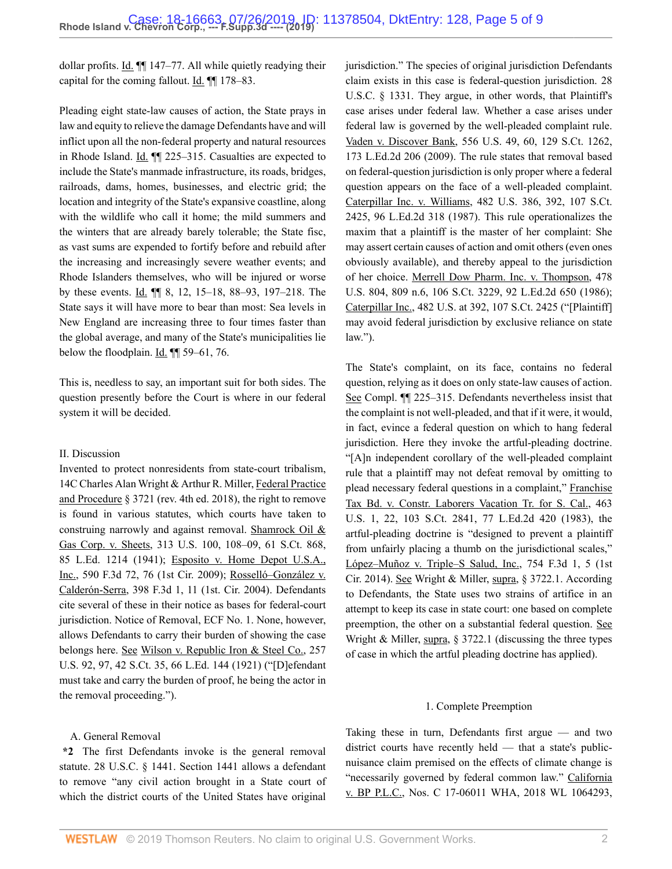dollar profits. Id.  $\P$  147–77. All while quietly readying their capital for the coming fallout. Id. ¶¶ 178–83.

Pleading eight state-law causes of action, the State prays in law and equity to relieve the damage Defendants have and will inflict upon all the non-federal property and natural resources in Rhode Island. Id. ¶¶ 225–315. Casualties are expected to include the State's manmade infrastructure, its roads, bridges, railroads, dams, homes, businesses, and electric grid; the location and integrity of the State's expansive coastline, along with the wildlife who call it home; the mild summers and the winters that are already barely tolerable; the State fisc, as vast sums are expended to fortify before and rebuild after the increasing and increasingly severe weather events; and Rhode Islanders themselves, who will be injured or worse by these events. Id. ¶¶ 8, 12, 15–18, 88–93, 197–218. The State says it will have more to bear than most: Sea levels in New England are increasing three to four times faster than the global average, and many of the State's municipalities lie below the floodplain. Id. ¶¶ 59–61, 76.

This is, needless to say, an important suit for both sides. The question presently before the Court is where in our federal system it will be decided.

#### II. Discussion

Invented to protect nonresidents from state-court tribalism, [14C Charles Alan Wright & Arthur R. Miller, Federal Practice](http://www.westlaw.com/Link/Document/FullText?findType=Y&serNum=0109620299&pubNum=0102228&originatingDoc=If1c91c40acc311e981b9f3f7c11376fd&refType=TS&originationContext=document&vr=3.0&rs=cblt1.0&transitionType=DocumentItem&contextData=(sc.Search)) [and Procedure § 3721 \(rev. 4th ed. 2018\)](http://www.westlaw.com/Link/Document/FullText?findType=Y&serNum=0109620299&pubNum=0102228&originatingDoc=If1c91c40acc311e981b9f3f7c11376fd&refType=TS&originationContext=document&vr=3.0&rs=cblt1.0&transitionType=DocumentItem&contextData=(sc.Search)), the right to remove is found in various statutes, which courts have taken to construing narrowly and against removal. [Shamrock Oil &](http://www.westlaw.com/Link/Document/FullText?findType=Y&serNum=1941124921&pubNum=0000780&originatingDoc=If1c91c40acc311e981b9f3f7c11376fd&refType=RP&fi=co_pp_sp_780_108&originationContext=document&vr=3.0&rs=cblt1.0&transitionType=DocumentItem&contextData=(sc.Search)#co_pp_sp_780_108) [Gas Corp. v. Sheets, 313 U.S. 100, 108–09, 61 S.Ct. 868,](http://www.westlaw.com/Link/Document/FullText?findType=Y&serNum=1941124921&pubNum=0000780&originatingDoc=If1c91c40acc311e981b9f3f7c11376fd&refType=RP&fi=co_pp_sp_780_108&originationContext=document&vr=3.0&rs=cblt1.0&transitionType=DocumentItem&contextData=(sc.Search)#co_pp_sp_780_108) [85 L.Ed. 1214 \(1941\)](http://www.westlaw.com/Link/Document/FullText?findType=Y&serNum=1941124921&pubNum=0000780&originatingDoc=If1c91c40acc311e981b9f3f7c11376fd&refType=RP&fi=co_pp_sp_780_108&originationContext=document&vr=3.0&rs=cblt1.0&transitionType=DocumentItem&contextData=(sc.Search)#co_pp_sp_780_108); [Esposito v. Home Depot U.S.A.,](http://www.westlaw.com/Link/Document/FullText?findType=Y&serNum=2020923909&pubNum=0000506&originatingDoc=If1c91c40acc311e981b9f3f7c11376fd&refType=RP&fi=co_pp_sp_506_76&originationContext=document&vr=3.0&rs=cblt1.0&transitionType=DocumentItem&contextData=(sc.Search)#co_pp_sp_506_76) [Inc., 590 F.3d 72, 76 \(1st Cir. 2009\)](http://www.westlaw.com/Link/Document/FullText?findType=Y&serNum=2020923909&pubNum=0000506&originatingDoc=If1c91c40acc311e981b9f3f7c11376fd&refType=RP&fi=co_pp_sp_506_76&originationContext=document&vr=3.0&rs=cblt1.0&transitionType=DocumentItem&contextData=(sc.Search)#co_pp_sp_506_76); [Rosselló–González v.](http://www.westlaw.com/Link/Document/FullText?findType=Y&serNum=2006145877&pubNum=0000506&originatingDoc=If1c91c40acc311e981b9f3f7c11376fd&refType=RP&fi=co_pp_sp_506_11&originationContext=document&vr=3.0&rs=cblt1.0&transitionType=DocumentItem&contextData=(sc.Search)#co_pp_sp_506_11) [Calderón-Serra, 398 F.3d 1, 11 \(1st. Cir. 2004\).](http://www.westlaw.com/Link/Document/FullText?findType=Y&serNum=2006145877&pubNum=0000506&originatingDoc=If1c91c40acc311e981b9f3f7c11376fd&refType=RP&fi=co_pp_sp_506_11&originationContext=document&vr=3.0&rs=cblt1.0&transitionType=DocumentItem&contextData=(sc.Search)#co_pp_sp_506_11) Defendants cite several of these in their notice as bases for federal-court jurisdiction. Notice of Removal, ECF No. 1. None, however, allows Defendants to carry their burden of showing the case belongs here. See [Wilson v. Republic Iron & Steel Co., 257](http://www.westlaw.com/Link/Document/FullText?findType=Y&serNum=1921113869&pubNum=0000780&originatingDoc=If1c91c40acc311e981b9f3f7c11376fd&refType=RP&fi=co_pp_sp_780_97&originationContext=document&vr=3.0&rs=cblt1.0&transitionType=DocumentItem&contextData=(sc.Search)#co_pp_sp_780_97) [U.S. 92, 97, 42 S.Ct. 35, 66 L.Ed. 144 \(1921\)](http://www.westlaw.com/Link/Document/FullText?findType=Y&serNum=1921113869&pubNum=0000780&originatingDoc=If1c91c40acc311e981b9f3f7c11376fd&refType=RP&fi=co_pp_sp_780_97&originationContext=document&vr=3.0&rs=cblt1.0&transitionType=DocumentItem&contextData=(sc.Search)#co_pp_sp_780_97) ("[D]efendant must take and carry the burden of proof, he being the actor in the removal proceeding.").

#### A. General Removal

**\*2** The first Defendants invoke is the general removal statute. [28 U.S.C. § 1441.](http://www.westlaw.com/Link/Document/FullText?findType=L&pubNum=1000546&cite=28USCAS1441&originatingDoc=If1c91c40acc311e981b9f3f7c11376fd&refType=LQ&originationContext=document&vr=3.0&rs=cblt1.0&transitionType=DocumentItem&contextData=(sc.Search)) [Section 1441](http://www.westlaw.com/Link/Document/FullText?findType=L&pubNum=1000546&cite=28USCAS1441&originatingDoc=If1c91c40acc311e981b9f3f7c11376fd&refType=LQ&originationContext=document&vr=3.0&rs=cblt1.0&transitionType=DocumentItem&contextData=(sc.Search)) allows a defendant to remove "any civil action brought in a State court of which the district courts of the United States have original jurisdiction." The species of original jurisdiction Defendants claim exists in this case is federal-question jurisdiction. [28](http://www.westlaw.com/Link/Document/FullText?findType=L&pubNum=1000546&cite=28USCAS1331&originatingDoc=If1c91c40acc311e981b9f3f7c11376fd&refType=LQ&originationContext=document&vr=3.0&rs=cblt1.0&transitionType=DocumentItem&contextData=(sc.Search)) [U.S.C. § 1331.](http://www.westlaw.com/Link/Document/FullText?findType=L&pubNum=1000546&cite=28USCAS1331&originatingDoc=If1c91c40acc311e981b9f3f7c11376fd&refType=LQ&originationContext=document&vr=3.0&rs=cblt1.0&transitionType=DocumentItem&contextData=(sc.Search)) They argue, in other words, that Plaintiff's case arises under federal law. Whether a case arises under federal law is governed by the well-pleaded complaint rule. [Vaden v. Discover Bank, 556 U.S. 49, 60, 129 S.Ct. 1262,](http://www.westlaw.com/Link/Document/FullText?findType=Y&serNum=2018291954&pubNum=0000780&originatingDoc=If1c91c40acc311e981b9f3f7c11376fd&refType=RP&fi=co_pp_sp_780_60&originationContext=document&vr=3.0&rs=cblt1.0&transitionType=DocumentItem&contextData=(sc.Search)#co_pp_sp_780_60) [173 L.Ed.2d 206 \(2009\)](http://www.westlaw.com/Link/Document/FullText?findType=Y&serNum=2018291954&pubNum=0000780&originatingDoc=If1c91c40acc311e981b9f3f7c11376fd&refType=RP&fi=co_pp_sp_780_60&originationContext=document&vr=3.0&rs=cblt1.0&transitionType=DocumentItem&contextData=(sc.Search)#co_pp_sp_780_60). The rule states that removal based on federal-question jurisdiction is only proper where a federal question appears on the face of a well-pleaded complaint. [Caterpillar Inc. v. Williams, 482 U.S. 386, 392, 107 S.Ct.](http://www.westlaw.com/Link/Document/FullText?findType=Y&serNum=1987071665&pubNum=0000780&originatingDoc=If1c91c40acc311e981b9f3f7c11376fd&refType=RP&fi=co_pp_sp_780_392&originationContext=document&vr=3.0&rs=cblt1.0&transitionType=DocumentItem&contextData=(sc.Search)#co_pp_sp_780_392) [2425, 96 L.Ed.2d 318 \(1987\)](http://www.westlaw.com/Link/Document/FullText?findType=Y&serNum=1987071665&pubNum=0000780&originatingDoc=If1c91c40acc311e981b9f3f7c11376fd&refType=RP&fi=co_pp_sp_780_392&originationContext=document&vr=3.0&rs=cblt1.0&transitionType=DocumentItem&contextData=(sc.Search)#co_pp_sp_780_392). This rule operationalizes the maxim that a plaintiff is the master of her complaint: She may assert certain causes of action and omit others (even ones obviously available), and thereby appeal to the jurisdiction of her choice. [Merrell Dow Pharm. Inc. v. Thompson, 478](http://www.westlaw.com/Link/Document/FullText?findType=Y&serNum=1986134547&pubNum=0000780&originatingDoc=If1c91c40acc311e981b9f3f7c11376fd&refType=RP&fi=co_pp_sp_780_809&originationContext=document&vr=3.0&rs=cblt1.0&transitionType=DocumentItem&contextData=(sc.Search)#co_pp_sp_780_809) [U.S. 804, 809 n.6, 106 S.Ct. 3229, 92 L.Ed.2d 650 \(1986\)](http://www.westlaw.com/Link/Document/FullText?findType=Y&serNum=1986134547&pubNum=0000780&originatingDoc=If1c91c40acc311e981b9f3f7c11376fd&refType=RP&fi=co_pp_sp_780_809&originationContext=document&vr=3.0&rs=cblt1.0&transitionType=DocumentItem&contextData=(sc.Search)#co_pp_sp_780_809); [Caterpillar Inc., 482 U.S. at 392, 107 S.Ct. 2425](http://www.westlaw.com/Link/Document/FullText?findType=Y&serNum=1987071665&pubNum=0000780&originatingDoc=If1c91c40acc311e981b9f3f7c11376fd&refType=RP&fi=co_pp_sp_780_392&originationContext=document&vr=3.0&rs=cblt1.0&transitionType=DocumentItem&contextData=(sc.Search)#co_pp_sp_780_392) ("[Plaintiff] may avoid federal jurisdiction by exclusive reliance on state law.").

The State's complaint, on its face, contains no federal question, relying as it does on only state-law causes of action. See Compl. ¶¶ 225–315. Defendants nevertheless insist that the complaint is not well-pleaded, and that if it were, it would, in fact, evince a federal question on which to hang federal jurisdiction. Here they invoke the artful-pleading doctrine. "[A]n independent corollary of the well-pleaded complaint rule that a plaintiff may not defeat removal by omitting to plead necessary federal questions in a complaint," [Franchise](http://www.westlaw.com/Link/Document/FullText?findType=Y&serNum=1983129660&pubNum=0000780&originatingDoc=If1c91c40acc311e981b9f3f7c11376fd&refType=RP&fi=co_pp_sp_780_22&originationContext=document&vr=3.0&rs=cblt1.0&transitionType=DocumentItem&contextData=(sc.Search)#co_pp_sp_780_22) [Tax Bd. v. Constr. Laborers Vacation Tr. for S. Cal., 463](http://www.westlaw.com/Link/Document/FullText?findType=Y&serNum=1983129660&pubNum=0000780&originatingDoc=If1c91c40acc311e981b9f3f7c11376fd&refType=RP&fi=co_pp_sp_780_22&originationContext=document&vr=3.0&rs=cblt1.0&transitionType=DocumentItem&contextData=(sc.Search)#co_pp_sp_780_22) [U.S. 1, 22, 103 S.Ct. 2841, 77 L.Ed.2d 420 \(1983\)](http://www.westlaw.com/Link/Document/FullText?findType=Y&serNum=1983129660&pubNum=0000780&originatingDoc=If1c91c40acc311e981b9f3f7c11376fd&refType=RP&fi=co_pp_sp_780_22&originationContext=document&vr=3.0&rs=cblt1.0&transitionType=DocumentItem&contextData=(sc.Search)#co_pp_sp_780_22), the artful-pleading doctrine is "designed to prevent a plaintiff from unfairly placing a thumb on the jurisdictional scales," [López–Muñoz v. Triple–S Salud, Inc., 754 F.3d 1, 5 \(1st](http://www.westlaw.com/Link/Document/FullText?findType=Y&serNum=2033357589&pubNum=0000506&originatingDoc=If1c91c40acc311e981b9f3f7c11376fd&refType=RP&fi=co_pp_sp_506_5&originationContext=document&vr=3.0&rs=cblt1.0&transitionType=DocumentItem&contextData=(sc.Search)#co_pp_sp_506_5) [Cir. 2014\).](http://www.westlaw.com/Link/Document/FullText?findType=Y&serNum=2033357589&pubNum=0000506&originatingDoc=If1c91c40acc311e981b9f3f7c11376fd&refType=RP&fi=co_pp_sp_506_5&originationContext=document&vr=3.0&rs=cblt1.0&transitionType=DocumentItem&contextData=(sc.Search)#co_pp_sp_506_5) See [Wright & Miller, supra, § 3722.1.](http://www.westlaw.com/Link/Document/FullText?findType=Y&serNum=0109620302&pubNum=0102228&originatingDoc=If1c91c40acc311e981b9f3f7c11376fd&refType=TS&originationContext=document&vr=3.0&rs=cblt1.0&transitionType=DocumentItem&contextData=(sc.Search)) According to Defendants, the State uses two strains of artifice in an attempt to keep its case in state court: one based on complete preemption, the other on a substantial federal question. See Wright & Miller, supra,  $\S$  3722.1 (discussing the three types of case in which the artful pleading doctrine has applied).

#### 1. Complete Preemption

Taking these in turn, Defendants first argue — and two district courts have recently held — that a state's publicnuisance claim premised on the effects of climate change is "necessarily governed by federal common law." [California](http://www.westlaw.com/Link/Document/FullText?findType=Y&serNum=2043900803&pubNum=0000999&originatingDoc=If1c91c40acc311e981b9f3f7c11376fd&refType=RP&originationContext=document&vr=3.0&rs=cblt1.0&transitionType=DocumentItem&contextData=(sc.Search)) [v. BP P.L.C., Nos. C 17-06011 WHA, 2018 WL 1064293,](http://www.westlaw.com/Link/Document/FullText?findType=Y&serNum=2043900803&pubNum=0000999&originatingDoc=If1c91c40acc311e981b9f3f7c11376fd&refType=RP&originationContext=document&vr=3.0&rs=cblt1.0&transitionType=DocumentItem&contextData=(sc.Search))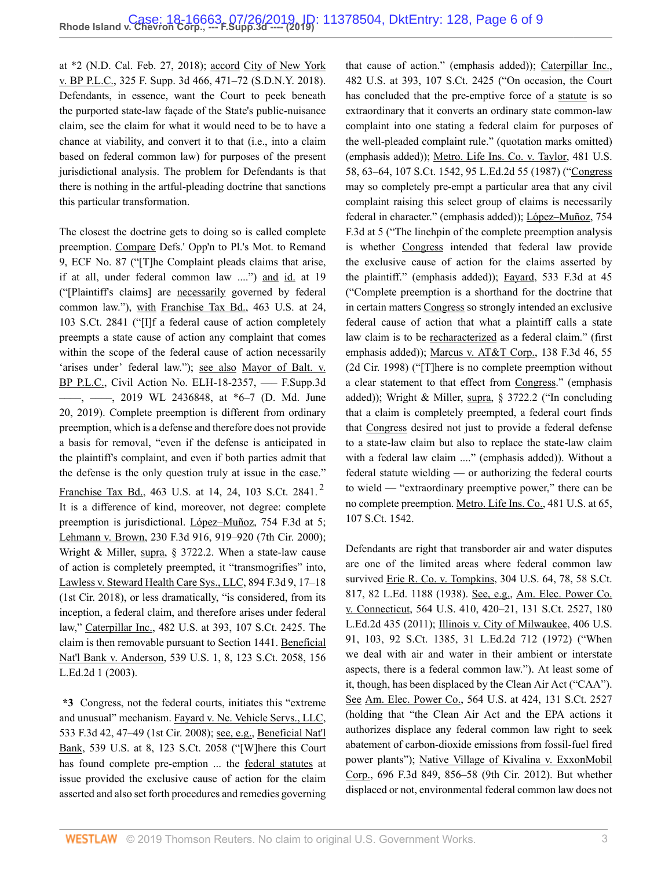[at \\*2 \(N.D. Cal. Feb. 27, 2018\)](http://www.westlaw.com/Link/Document/FullText?findType=Y&serNum=2043900803&pubNum=0000999&originatingDoc=If1c91c40acc311e981b9f3f7c11376fd&refType=RP&originationContext=document&vr=3.0&rs=cblt1.0&transitionType=DocumentItem&contextData=(sc.Search)); accord [City of New York](http://www.westlaw.com/Link/Document/FullText?findType=Y&serNum=2045062370&pubNum=0007903&originatingDoc=If1c91c40acc311e981b9f3f7c11376fd&refType=RP&fi=co_pp_sp_7903_471&originationContext=document&vr=3.0&rs=cblt1.0&transitionType=DocumentItem&contextData=(sc.Search)#co_pp_sp_7903_471) [v. BP P.L.C., 325 F. Supp. 3d 466, 471–72 \(S.D.N.Y. 2018\)](http://www.westlaw.com/Link/Document/FullText?findType=Y&serNum=2045062370&pubNum=0007903&originatingDoc=If1c91c40acc311e981b9f3f7c11376fd&refType=RP&fi=co_pp_sp_7903_471&originationContext=document&vr=3.0&rs=cblt1.0&transitionType=DocumentItem&contextData=(sc.Search)#co_pp_sp_7903_471). Defendants, in essence, want the Court to peek beneath the purported state-law façade of the State's public-nuisance claim, see the claim for what it would need to be to have a chance at viability, and convert it to that (i.e., into a claim based on federal common law) for purposes of the present jurisdictional analysis. The problem for Defendants is that there is nothing in the artful-pleading doctrine that sanctions this particular transformation.

The closest the doctrine gets to doing so is called complete preemption. Compare Defs.' Opp'n to Pl.'s Mot. to Remand 9, ECF No. 87 ("[T]he Complaint pleads claims that arise, if at all, under federal common law ....") and id. at 19 ("[Plaintiff's claims] are necessarily governed by federal common law."), with [Franchise Tax Bd., 463 U.S. at 24,](http://www.westlaw.com/Link/Document/FullText?findType=Y&serNum=1983129660&pubNum=0000780&originatingDoc=If1c91c40acc311e981b9f3f7c11376fd&refType=RP&fi=co_pp_sp_780_24&originationContext=document&vr=3.0&rs=cblt1.0&transitionType=DocumentItem&contextData=(sc.Search)#co_pp_sp_780_24) [103 S.Ct. 2841](http://www.westlaw.com/Link/Document/FullText?findType=Y&serNum=1983129660&pubNum=0000780&originatingDoc=If1c91c40acc311e981b9f3f7c11376fd&refType=RP&fi=co_pp_sp_780_24&originationContext=document&vr=3.0&rs=cblt1.0&transitionType=DocumentItem&contextData=(sc.Search)#co_pp_sp_780_24) ("[I]f a federal cause of action completely preempts a state cause of action any complaint that comes within the scope of the federal cause of action necessarily 'arises under' federal law."); see also [Mayor of Balt. v.](http://www.westlaw.com/Link/Document/FullText?findType=Y&serNum=2048466347&pubNum=0000999&originatingDoc=If1c91c40acc311e981b9f3f7c11376fd&refType=RP&originationContext=document&vr=3.0&rs=cblt1.0&transitionType=DocumentItem&contextData=(sc.Search)) [BP P.L.C., Civil Action No. ELH-18-2357, ––– F.Supp.3d](http://www.westlaw.com/Link/Document/FullText?findType=Y&serNum=2048466347&pubNum=0000999&originatingDoc=If1c91c40acc311e981b9f3f7c11376fd&refType=RP&originationContext=document&vr=3.0&rs=cblt1.0&transitionType=DocumentItem&contextData=(sc.Search)) [––––, ––––, 2019 WL 2436848, at \\*6–7 \(D. Md. June](http://www.westlaw.com/Link/Document/FullText?findType=Y&serNum=2048466347&pubNum=0000999&originatingDoc=If1c91c40acc311e981b9f3f7c11376fd&refType=RP&originationContext=document&vr=3.0&rs=cblt1.0&transitionType=DocumentItem&contextData=(sc.Search)) [20, 2019\).](http://www.westlaw.com/Link/Document/FullText?findType=Y&serNum=2048466347&pubNum=0000999&originatingDoc=If1c91c40acc311e981b9f3f7c11376fd&refType=RP&originationContext=document&vr=3.0&rs=cblt1.0&transitionType=DocumentItem&contextData=(sc.Search)) Complete preemption is different from ordinary preemption, which is a defense and therefore does not provide a basis for removal, "even if the defense is anticipated in the plaintiff's complaint, and even if both parties admit that the defense is the only question truly at issue in the case." [Franchise Tax Bd., 463 U.S. at 14, 24, 103 S.Ct. 2841](http://www.westlaw.com/Link/Document/FullText?findType=Y&serNum=1983129660&pubNum=0000780&originatingDoc=If1c91c40acc311e981b9f3f7c11376fd&refType=RP&fi=co_pp_sp_780_14&originationContext=document&vr=3.0&rs=cblt1.0&transitionType=DocumentItem&contextData=(sc.Search)#co_pp_sp_780_14).<sup>[2](#page-8-1)</sup> It is a difference of kind, moreover, not degree: complete preemption is jurisdictional. [López–Muñoz, 754 F.3d at 5](http://www.westlaw.com/Link/Document/FullText?findType=Y&serNum=2033357589&pubNum=0000506&originatingDoc=If1c91c40acc311e981b9f3f7c11376fd&refType=RP&fi=co_pp_sp_506_5&originationContext=document&vr=3.0&rs=cblt1.0&transitionType=DocumentItem&contextData=(sc.Search)#co_pp_sp_506_5); [Lehmann v. Brown, 230 F.3d 916, 919–920 \(7th Cir. 2000\)](http://www.westlaw.com/Link/Document/FullText?findType=Y&serNum=2000570848&pubNum=0000506&originatingDoc=If1c91c40acc311e981b9f3f7c11376fd&refType=RP&fi=co_pp_sp_506_919&originationContext=document&vr=3.0&rs=cblt1.0&transitionType=DocumentItem&contextData=(sc.Search)#co_pp_sp_506_919); [Wright & Miller, supra, § 3722.2.](http://www.westlaw.com/Link/Document/FullText?findType=Y&serNum=0346839798&pubNum=0102228&originatingDoc=If1c91c40acc311e981b9f3f7c11376fd&refType=TS&originationContext=document&vr=3.0&rs=cblt1.0&transitionType=DocumentItem&contextData=(sc.Search)) When a state-law cause of action is completely preempted, it "transmogrifies" into, [Lawless v. Steward Health Care Sys., LLC, 894 F.3d 9, 17–18](http://www.westlaw.com/Link/Document/FullText?findType=Y&serNum=2044804810&pubNum=0000506&originatingDoc=If1c91c40acc311e981b9f3f7c11376fd&refType=RP&fi=co_pp_sp_506_17&originationContext=document&vr=3.0&rs=cblt1.0&transitionType=DocumentItem&contextData=(sc.Search)#co_pp_sp_506_17) [\(1st Cir. 2018\),](http://www.westlaw.com/Link/Document/FullText?findType=Y&serNum=2044804810&pubNum=0000506&originatingDoc=If1c91c40acc311e981b9f3f7c11376fd&refType=RP&fi=co_pp_sp_506_17&originationContext=document&vr=3.0&rs=cblt1.0&transitionType=DocumentItem&contextData=(sc.Search)#co_pp_sp_506_17) or less dramatically, "is considered, from its inception, a federal claim, and therefore arises under federal law," [Caterpillar Inc., 482 U.S. at 393, 107 S.Ct. 2425.](http://www.westlaw.com/Link/Document/FullText?findType=Y&serNum=1987071665&pubNum=0000780&originatingDoc=If1c91c40acc311e981b9f3f7c11376fd&refType=RP&fi=co_pp_sp_780_393&originationContext=document&vr=3.0&rs=cblt1.0&transitionType=DocumentItem&contextData=(sc.Search)#co_pp_sp_780_393) The claim is then removable pursuant to [Section 1441](http://www.westlaw.com/Link/Document/FullText?findType=L&pubNum=1000546&cite=28USCAS1441&originatingDoc=If1c91c40acc311e981b9f3f7c11376fd&refType=LQ&originationContext=document&vr=3.0&rs=cblt1.0&transitionType=DocumentItem&contextData=(sc.Search)). [Beneficial](http://www.westlaw.com/Link/Document/FullText?findType=Y&serNum=2003391166&pubNum=0000780&originatingDoc=If1c91c40acc311e981b9f3f7c11376fd&refType=RP&fi=co_pp_sp_780_8&originationContext=document&vr=3.0&rs=cblt1.0&transitionType=DocumentItem&contextData=(sc.Search)#co_pp_sp_780_8) [Nat'l Bank v. Anderson, 539 U.S. 1, 8, 123 S.Ct. 2058, 156](http://www.westlaw.com/Link/Document/FullText?findType=Y&serNum=2003391166&pubNum=0000780&originatingDoc=If1c91c40acc311e981b9f3f7c11376fd&refType=RP&fi=co_pp_sp_780_8&originationContext=document&vr=3.0&rs=cblt1.0&transitionType=DocumentItem&contextData=(sc.Search)#co_pp_sp_780_8) [L.Ed.2d 1 \(2003\).](http://www.westlaw.com/Link/Document/FullText?findType=Y&serNum=2003391166&pubNum=0000780&originatingDoc=If1c91c40acc311e981b9f3f7c11376fd&refType=RP&fi=co_pp_sp_780_8&originationContext=document&vr=3.0&rs=cblt1.0&transitionType=DocumentItem&contextData=(sc.Search)#co_pp_sp_780_8)

**\*3** Congress, not the federal courts, initiates this "extreme and unusual" mechanism. [Fayard v. Ne. Vehicle Servs., LLC,](http://www.westlaw.com/Link/Document/FullText?findType=Y&serNum=2016513795&pubNum=0000506&originatingDoc=If1c91c40acc311e981b9f3f7c11376fd&refType=RP&fi=co_pp_sp_506_47&originationContext=document&vr=3.0&rs=cblt1.0&transitionType=DocumentItem&contextData=(sc.Search)#co_pp_sp_506_47) [533 F.3d 42, 47–49 \(1st Cir. 2008\);](http://www.westlaw.com/Link/Document/FullText?findType=Y&serNum=2016513795&pubNum=0000506&originatingDoc=If1c91c40acc311e981b9f3f7c11376fd&refType=RP&fi=co_pp_sp_506_47&originationContext=document&vr=3.0&rs=cblt1.0&transitionType=DocumentItem&contextData=(sc.Search)#co_pp_sp_506_47) see, e.g., [Beneficial Nat'l](http://www.westlaw.com/Link/Document/FullText?findType=Y&serNum=2003391166&pubNum=0000780&originatingDoc=If1c91c40acc311e981b9f3f7c11376fd&refType=RP&fi=co_pp_sp_780_8&originationContext=document&vr=3.0&rs=cblt1.0&transitionType=DocumentItem&contextData=(sc.Search)#co_pp_sp_780_8) [Bank, 539 U.S. at 8, 123 S.Ct. 2058](http://www.westlaw.com/Link/Document/FullText?findType=Y&serNum=2003391166&pubNum=0000780&originatingDoc=If1c91c40acc311e981b9f3f7c11376fd&refType=RP&fi=co_pp_sp_780_8&originationContext=document&vr=3.0&rs=cblt1.0&transitionType=DocumentItem&contextData=(sc.Search)#co_pp_sp_780_8) ("[W]here this Court has found complete pre-emption ... the federal statutes at issue provided the exclusive cause of action for the claim asserted and also set forth procedures and remedies governing that cause of action." (emphasis added)); [Caterpillar Inc.,](http://www.westlaw.com/Link/Document/FullText?findType=Y&serNum=1987071665&pubNum=0000780&originatingDoc=If1c91c40acc311e981b9f3f7c11376fd&refType=RP&fi=co_pp_sp_780_393&originationContext=document&vr=3.0&rs=cblt1.0&transitionType=DocumentItem&contextData=(sc.Search)#co_pp_sp_780_393) [482 U.S. at 393, 107 S.Ct. 2425](http://www.westlaw.com/Link/Document/FullText?findType=Y&serNum=1987071665&pubNum=0000780&originatingDoc=If1c91c40acc311e981b9f3f7c11376fd&refType=RP&fi=co_pp_sp_780_393&originationContext=document&vr=3.0&rs=cblt1.0&transitionType=DocumentItem&contextData=(sc.Search)#co_pp_sp_780_393) ("On occasion, the Court has concluded that the pre-emptive force of a statute is so extraordinary that it converts an ordinary state common-law complaint into one stating a federal claim for purposes of the well-pleaded complaint rule." (quotation marks omitted) (emphasis added)); [Metro. Life Ins. Co. v. Taylor, 481 U.S.](http://www.westlaw.com/Link/Document/FullText?findType=Y&serNum=1987042951&pubNum=0000780&originatingDoc=If1c91c40acc311e981b9f3f7c11376fd&refType=RP&fi=co_pp_sp_780_63&originationContext=document&vr=3.0&rs=cblt1.0&transitionType=DocumentItem&contextData=(sc.Search)#co_pp_sp_780_63) [58, 63–64, 107 S.Ct. 1542, 95 L.Ed.2d 55 \(1987\)](http://www.westlaw.com/Link/Document/FullText?findType=Y&serNum=1987042951&pubNum=0000780&originatingDoc=If1c91c40acc311e981b9f3f7c11376fd&refType=RP&fi=co_pp_sp_780_63&originationContext=document&vr=3.0&rs=cblt1.0&transitionType=DocumentItem&contextData=(sc.Search)#co_pp_sp_780_63) ("Congress may so completely pre-empt a particular area that any civil complaint raising this select group of claims is necessarily federal in character." (emphasis added)); [López–Muñoz, 754](http://www.westlaw.com/Link/Document/FullText?findType=Y&serNum=2033357589&pubNum=0000506&originatingDoc=If1c91c40acc311e981b9f3f7c11376fd&refType=RP&fi=co_pp_sp_506_5&originationContext=document&vr=3.0&rs=cblt1.0&transitionType=DocumentItem&contextData=(sc.Search)#co_pp_sp_506_5) [F.3d at 5](http://www.westlaw.com/Link/Document/FullText?findType=Y&serNum=2033357589&pubNum=0000506&originatingDoc=If1c91c40acc311e981b9f3f7c11376fd&refType=RP&fi=co_pp_sp_506_5&originationContext=document&vr=3.0&rs=cblt1.0&transitionType=DocumentItem&contextData=(sc.Search)#co_pp_sp_506_5) ("The linchpin of the complete preemption analysis is whether Congress intended that federal law provide the exclusive cause of action for the claims asserted by the plaintiff." (emphasis added)); [Fayard, 533 F.3d at 45](http://www.westlaw.com/Link/Document/FullText?findType=Y&serNum=2016513795&pubNum=0000506&originatingDoc=If1c91c40acc311e981b9f3f7c11376fd&refType=RP&fi=co_pp_sp_506_45&originationContext=document&vr=3.0&rs=cblt1.0&transitionType=DocumentItem&contextData=(sc.Search)#co_pp_sp_506_45) ("Complete preemption is a shorthand for the doctrine that in certain matters Congress so strongly intended an exclusive federal cause of action that what a plaintiff calls a state law claim is to be recharacterized as a federal claim." (first emphasis added)); [Marcus v. AT&T Corp., 138 F.3d 46, 55](http://www.westlaw.com/Link/Document/FullText?findType=Y&serNum=1998063277&pubNum=0000506&originatingDoc=If1c91c40acc311e981b9f3f7c11376fd&refType=RP&fi=co_pp_sp_506_55&originationContext=document&vr=3.0&rs=cblt1.0&transitionType=DocumentItem&contextData=(sc.Search)#co_pp_sp_506_55) [\(2d Cir. 1998\)](http://www.westlaw.com/Link/Document/FullText?findType=Y&serNum=1998063277&pubNum=0000506&originatingDoc=If1c91c40acc311e981b9f3f7c11376fd&refType=RP&fi=co_pp_sp_506_55&originationContext=document&vr=3.0&rs=cblt1.0&transitionType=DocumentItem&contextData=(sc.Search)#co_pp_sp_506_55) ("[T]here is no complete preemption without a clear statement to that effect from Congress." (emphasis added)); [Wright & Miller, supra, § 3722.2](http://www.westlaw.com/Link/Document/FullText?findType=Y&serNum=0346839798&pubNum=0102228&originatingDoc=If1c91c40acc311e981b9f3f7c11376fd&refType=TS&originationContext=document&vr=3.0&rs=cblt1.0&transitionType=DocumentItem&contextData=(sc.Search)) ("In concluding that a claim is completely preempted, a federal court finds that Congress desired not just to provide a federal defense to a state-law claim but also to replace the state-law claim with a federal law claim ...." (emphasis added)). Without a federal statute wielding — or authorizing the federal courts to wield — "extraordinary preemptive power," there can be no complete preemption. [Metro. Life Ins. Co., 481 U.S. at 65,](http://www.westlaw.com/Link/Document/FullText?findType=Y&serNum=1987042951&pubNum=0000708&originatingDoc=If1c91c40acc311e981b9f3f7c11376fd&refType=RP&fi=co_pp_sp_708_65&originationContext=document&vr=3.0&rs=cblt1.0&transitionType=DocumentItem&contextData=(sc.Search)#co_pp_sp_708_65) [107 S.Ct. 1542.](http://www.westlaw.com/Link/Document/FullText?findType=Y&serNum=1987042951&pubNum=0000708&originatingDoc=If1c91c40acc311e981b9f3f7c11376fd&refType=RP&fi=co_pp_sp_708_65&originationContext=document&vr=3.0&rs=cblt1.0&transitionType=DocumentItem&contextData=(sc.Search)#co_pp_sp_708_65)

<span id="page-5-0"></span>Defendants are right that transborder air and water disputes are one of the limited areas where federal common law survived [Erie R. Co. v. Tompkins, 304 U.S. 64, 78, 58 S.Ct.](http://www.westlaw.com/Link/Document/FullText?findType=Y&serNum=1938121079&pubNum=0000780&originatingDoc=If1c91c40acc311e981b9f3f7c11376fd&refType=RP&fi=co_pp_sp_780_78&originationContext=document&vr=3.0&rs=cblt1.0&transitionType=DocumentItem&contextData=(sc.Search)#co_pp_sp_780_78) [817, 82 L.Ed. 1188 \(1938\)](http://www.westlaw.com/Link/Document/FullText?findType=Y&serNum=1938121079&pubNum=0000780&originatingDoc=If1c91c40acc311e981b9f3f7c11376fd&refType=RP&fi=co_pp_sp_780_78&originationContext=document&vr=3.0&rs=cblt1.0&transitionType=DocumentItem&contextData=(sc.Search)#co_pp_sp_780_78). See, e.g., [Am. Elec. Power Co.](http://www.westlaw.com/Link/Document/FullText?findType=Y&serNum=2025520220&pubNum=0000780&originatingDoc=If1c91c40acc311e981b9f3f7c11376fd&refType=RP&fi=co_pp_sp_780_420&originationContext=document&vr=3.0&rs=cblt1.0&transitionType=DocumentItem&contextData=(sc.Search)#co_pp_sp_780_420) [v. Connecticut, 564 U.S. 410, 420–21, 131 S.Ct. 2527, 180](http://www.westlaw.com/Link/Document/FullText?findType=Y&serNum=2025520220&pubNum=0000780&originatingDoc=If1c91c40acc311e981b9f3f7c11376fd&refType=RP&fi=co_pp_sp_780_420&originationContext=document&vr=3.0&rs=cblt1.0&transitionType=DocumentItem&contextData=(sc.Search)#co_pp_sp_780_420) [L.Ed.2d 435 \(2011\)](http://www.westlaw.com/Link/Document/FullText?findType=Y&serNum=2025520220&pubNum=0000780&originatingDoc=If1c91c40acc311e981b9f3f7c11376fd&refType=RP&fi=co_pp_sp_780_420&originationContext=document&vr=3.0&rs=cblt1.0&transitionType=DocumentItem&contextData=(sc.Search)#co_pp_sp_780_420); [Illinois v. City of Milwaukee, 406 U.S.](http://www.westlaw.com/Link/Document/FullText?findType=Y&serNum=1972127108&pubNum=0000780&originatingDoc=If1c91c40acc311e981b9f3f7c11376fd&refType=RP&fi=co_pp_sp_780_103&originationContext=document&vr=3.0&rs=cblt1.0&transitionType=DocumentItem&contextData=(sc.Search)#co_pp_sp_780_103) [91, 103, 92 S.Ct. 1385, 31 L.Ed.2d 712 \(1972\)](http://www.westlaw.com/Link/Document/FullText?findType=Y&serNum=1972127108&pubNum=0000780&originatingDoc=If1c91c40acc311e981b9f3f7c11376fd&refType=RP&fi=co_pp_sp_780_103&originationContext=document&vr=3.0&rs=cblt1.0&transitionType=DocumentItem&contextData=(sc.Search)#co_pp_sp_780_103) ("When we deal with air and water in their ambient or interstate aspects, there is a federal common law."). At least some of it, though, has been displaced by the Clean Air Act ("CAA"). See [Am. Elec. Power Co., 564 U.S. at 424, 131 S.Ct. 2527](http://www.westlaw.com/Link/Document/FullText?findType=Y&serNum=2025520220&pubNum=0000780&originatingDoc=If1c91c40acc311e981b9f3f7c11376fd&refType=RP&fi=co_pp_sp_780_424&originationContext=document&vr=3.0&rs=cblt1.0&transitionType=DocumentItem&contextData=(sc.Search)#co_pp_sp_780_424) (holding that "the Clean Air Act and the EPA actions it authorizes displace any federal common law right to seek abatement of carbon-dioxide emissions from fossil-fuel fired power plants"); [Native Village of Kivalina v. ExxonMobil](http://www.westlaw.com/Link/Document/FullText?findType=Y&serNum=2028670216&pubNum=0000506&originatingDoc=If1c91c40acc311e981b9f3f7c11376fd&refType=RP&fi=co_pp_sp_506_856&originationContext=document&vr=3.0&rs=cblt1.0&transitionType=DocumentItem&contextData=(sc.Search)#co_pp_sp_506_856) [Corp., 696 F.3d 849, 856–58 \(9th Cir. 2012\)](http://www.westlaw.com/Link/Document/FullText?findType=Y&serNum=2028670216&pubNum=0000506&originatingDoc=If1c91c40acc311e981b9f3f7c11376fd&refType=RP&fi=co_pp_sp_506_856&originationContext=document&vr=3.0&rs=cblt1.0&transitionType=DocumentItem&contextData=(sc.Search)#co_pp_sp_506_856). But whether displaced or not, environmental federal common law does not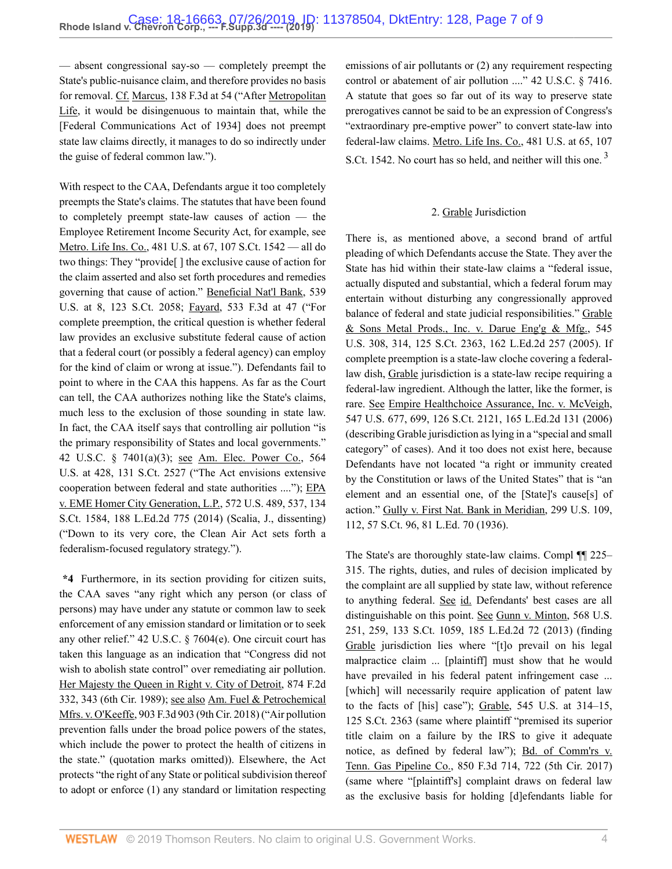— absent congressional say-so — completely preempt the State's public-nuisance claim, and therefore provides no basis for removal. Cf. [Marcus, 138 F.3d at 54](http://www.westlaw.com/Link/Document/FullText?findType=Y&serNum=1998063277&pubNum=0000506&originatingDoc=If1c91c40acc311e981b9f3f7c11376fd&refType=RP&fi=co_pp_sp_506_54&originationContext=document&vr=3.0&rs=cblt1.0&transitionType=DocumentItem&contextData=(sc.Search)#co_pp_sp_506_54) ("After [Metropolitan](http://www.westlaw.com/Link/Document/FullText?findType=Y&serNum=1987042951&originatingDoc=If1c91c40acc311e981b9f3f7c11376fd&refType=RP&originationContext=document&vr=3.0&rs=cblt1.0&transitionType=DocumentItem&contextData=(sc.Search)) [Life,](http://www.westlaw.com/Link/Document/FullText?findType=Y&serNum=1987042951&originatingDoc=If1c91c40acc311e981b9f3f7c11376fd&refType=RP&originationContext=document&vr=3.0&rs=cblt1.0&transitionType=DocumentItem&contextData=(sc.Search)) it would be disingenuous to maintain that, while the [Federal Communications Act of 1934] does not preempt state law claims directly, it manages to do so indirectly under the guise of federal common law.").

With respect to the CAA, Defendants argue it too completely preempts the State's claims. The statutes that have been found to completely preempt state-law causes of action — the Employee Retirement Income Security Act, for example, see [Metro. Life Ins. Co., 481 U.S. at 67, 107 S.Ct. 1542](http://www.westlaw.com/Link/Document/FullText?findType=Y&serNum=1987042951&pubNum=0000708&originatingDoc=If1c91c40acc311e981b9f3f7c11376fd&refType=RP&fi=co_pp_sp_708_67&originationContext=document&vr=3.0&rs=cblt1.0&transitionType=DocumentItem&contextData=(sc.Search)#co_pp_sp_708_67) — all do two things: They "provide[ ] the exclusive cause of action for the claim asserted and also set forth procedures and remedies governing that cause of action." [Beneficial Nat'l Bank, 539](http://www.westlaw.com/Link/Document/FullText?findType=Y&serNum=2003391166&pubNum=0000780&originatingDoc=If1c91c40acc311e981b9f3f7c11376fd&refType=RP&fi=co_pp_sp_780_8&originationContext=document&vr=3.0&rs=cblt1.0&transitionType=DocumentItem&contextData=(sc.Search)#co_pp_sp_780_8) [U.S. at 8, 123 S.Ct. 2058;](http://www.westlaw.com/Link/Document/FullText?findType=Y&serNum=2003391166&pubNum=0000780&originatingDoc=If1c91c40acc311e981b9f3f7c11376fd&refType=RP&fi=co_pp_sp_780_8&originationContext=document&vr=3.0&rs=cblt1.0&transitionType=DocumentItem&contextData=(sc.Search)#co_pp_sp_780_8) [Fayard, 533 F.3d at 47](http://www.westlaw.com/Link/Document/FullText?findType=Y&serNum=2016513795&pubNum=0000506&originatingDoc=If1c91c40acc311e981b9f3f7c11376fd&refType=RP&fi=co_pp_sp_506_47&originationContext=document&vr=3.0&rs=cblt1.0&transitionType=DocumentItem&contextData=(sc.Search)#co_pp_sp_506_47) ("For complete preemption, the critical question is whether federal law provides an exclusive substitute federal cause of action that a federal court (or possibly a federal agency) can employ for the kind of claim or wrong at issue."). Defendants fail to point to where in the CAA this happens. As far as the Court can tell, the CAA authorizes nothing like the State's claims, much less to the exclusion of those sounding in state law. In fact, the CAA itself says that controlling air pollution "is the primary responsibility of States and local governments." [42 U.S.C. § 7401\(a\)\(3\);](http://www.westlaw.com/Link/Document/FullText?findType=L&pubNum=1000546&cite=42USCAS7401&originatingDoc=If1c91c40acc311e981b9f3f7c11376fd&refType=RB&originationContext=document&vr=3.0&rs=cblt1.0&transitionType=DocumentItem&contextData=(sc.Search)#co_pp_28cc0000ccca6) see [Am. Elec. Power Co., 564](http://www.westlaw.com/Link/Document/FullText?findType=Y&serNum=2025520220&pubNum=0000780&originatingDoc=If1c91c40acc311e981b9f3f7c11376fd&refType=RP&fi=co_pp_sp_780_428&originationContext=document&vr=3.0&rs=cblt1.0&transitionType=DocumentItem&contextData=(sc.Search)#co_pp_sp_780_428) [U.S. at 428, 131 S.Ct. 2527](http://www.westlaw.com/Link/Document/FullText?findType=Y&serNum=2025520220&pubNum=0000780&originatingDoc=If1c91c40acc311e981b9f3f7c11376fd&refType=RP&fi=co_pp_sp_780_428&originationContext=document&vr=3.0&rs=cblt1.0&transitionType=DocumentItem&contextData=(sc.Search)#co_pp_sp_780_428) ("The Act envisions extensive cooperation between federal and state authorities ...."); [EPA](http://www.westlaw.com/Link/Document/FullText?findType=Y&serNum=2033282217&pubNum=0000780&originatingDoc=If1c91c40acc311e981b9f3f7c11376fd&refType=RP&fi=co_pp_sp_780_537&originationContext=document&vr=3.0&rs=cblt1.0&transitionType=DocumentItem&contextData=(sc.Search)#co_pp_sp_780_537) [v. EME Homer City Generation, L.P., 572 U.S. 489, 537, 134](http://www.westlaw.com/Link/Document/FullText?findType=Y&serNum=2033282217&pubNum=0000780&originatingDoc=If1c91c40acc311e981b9f3f7c11376fd&refType=RP&fi=co_pp_sp_780_537&originationContext=document&vr=3.0&rs=cblt1.0&transitionType=DocumentItem&contextData=(sc.Search)#co_pp_sp_780_537) [S.Ct. 1584, 188 L.Ed.2d 775 \(2014\)](http://www.westlaw.com/Link/Document/FullText?findType=Y&serNum=2033282217&pubNum=0000780&originatingDoc=If1c91c40acc311e981b9f3f7c11376fd&refType=RP&fi=co_pp_sp_780_537&originationContext=document&vr=3.0&rs=cblt1.0&transitionType=DocumentItem&contextData=(sc.Search)#co_pp_sp_780_537) (Scalia, J., dissenting) ("Down to its very core, the Clean Air Act sets forth a federalism-focused regulatory strategy.").

**\*4** Furthermore, in its section providing for citizen suits, the CAA saves "any right which any person (or class of persons) may have under any statute or common law to seek enforcement of any emission standard or limitation or to seek any other relief." [42 U.S.C. § 7604\(e\)](http://www.westlaw.com/Link/Document/FullText?findType=L&pubNum=1000546&cite=42USCAS7604&originatingDoc=If1c91c40acc311e981b9f3f7c11376fd&refType=RB&originationContext=document&vr=3.0&rs=cblt1.0&transitionType=DocumentItem&contextData=(sc.Search)#co_pp_7fdd00001ca15). One circuit court has taken this language as an indication that "Congress did not wish to abolish state control" over remediating air pollution. [Her Majesty the Queen in Right v. City of Detroit, 874 F.2d](http://www.westlaw.com/Link/Document/FullText?findType=Y&serNum=1989065176&pubNum=0000350&originatingDoc=If1c91c40acc311e981b9f3f7c11376fd&refType=RP&fi=co_pp_sp_350_343&originationContext=document&vr=3.0&rs=cblt1.0&transitionType=DocumentItem&contextData=(sc.Search)#co_pp_sp_350_343) [332, 343 \(6th Cir. 1989\)](http://www.westlaw.com/Link/Document/FullText?findType=Y&serNum=1989065176&pubNum=0000350&originatingDoc=If1c91c40acc311e981b9f3f7c11376fd&refType=RP&fi=co_pp_sp_350_343&originationContext=document&vr=3.0&rs=cblt1.0&transitionType=DocumentItem&contextData=(sc.Search)#co_pp_sp_350_343); see also [Am. Fuel & Petrochemical](http://www.westlaw.com/Link/Document/FullText?findType=Y&serNum=2045448627&pubNum=0000506&originatingDoc=If1c91c40acc311e981b9f3f7c11376fd&refType=RP&originationContext=document&vr=3.0&rs=cblt1.0&transitionType=DocumentItem&contextData=(sc.Search)) [Mfrs. v. O'Keeffe, 903 F.3d 903 \(9th Cir. 2018\)](http://www.westlaw.com/Link/Document/FullText?findType=Y&serNum=2045448627&pubNum=0000506&originatingDoc=If1c91c40acc311e981b9f3f7c11376fd&refType=RP&originationContext=document&vr=3.0&rs=cblt1.0&transitionType=DocumentItem&contextData=(sc.Search)) ("Air pollution prevention falls under the broad police powers of the states, which include the power to protect the health of citizens in the state." (quotation marks omitted)). Elsewhere, the Act protects "the right of any State or political subdivision thereof to adopt or enforce (1) any standard or limitation respecting

emissions of air pollutants or (2) any requirement respecting control or abatement of air pollution ...." [42 U.S.C. § 7416.](http://www.westlaw.com/Link/Document/FullText?findType=L&pubNum=1000546&cite=42USCAS7416&originatingDoc=If1c91c40acc311e981b9f3f7c11376fd&refType=LQ&originationContext=document&vr=3.0&rs=cblt1.0&transitionType=DocumentItem&contextData=(sc.Search)) A statute that goes so far out of its way to preserve state prerogatives cannot be said to be an expression of Congress's "extraordinary pre-emptive power" to convert state-law into federal-law claims. [Metro. Life Ins. Co., 481 U.S. at 65, 107](http://www.westlaw.com/Link/Document/FullText?findType=Y&serNum=1987042951&pubNum=0000708&originatingDoc=If1c91c40acc311e981b9f3f7c11376fd&refType=RP&fi=co_pp_sp_708_65&originationContext=document&vr=3.0&rs=cblt1.0&transitionType=DocumentItem&contextData=(sc.Search)#co_pp_sp_708_65) [S.Ct. 1542](http://www.westlaw.com/Link/Document/FullText?findType=Y&serNum=1987042951&pubNum=0000708&originatingDoc=If1c91c40acc311e981b9f3f7c11376fd&refType=RP&fi=co_pp_sp_708_65&originationContext=document&vr=3.0&rs=cblt1.0&transitionType=DocumentItem&contextData=(sc.Search)#co_pp_sp_708_65). No court has so held, and neither will this one.<sup>[3](#page-8-2)</sup>

#### <span id="page-6-0"></span>2. Grable Jurisdiction

There is, as mentioned above, a second brand of artful pleading of which Defendants accuse the State. They aver the State has hid within their state-law claims a "federal issue, actually disputed and substantial, which a federal forum may entertain without disturbing any congressionally approved balance of federal and state judicial responsibilities." [Grable](http://www.westlaw.com/Link/Document/FullText?findType=Y&serNum=2006791874&pubNum=0000780&originatingDoc=If1c91c40acc311e981b9f3f7c11376fd&refType=RP&fi=co_pp_sp_780_314&originationContext=document&vr=3.0&rs=cblt1.0&transitionType=DocumentItem&contextData=(sc.Search)#co_pp_sp_780_314) [& Sons Metal Prods., Inc. v. Darue Eng'g & Mfg., 545](http://www.westlaw.com/Link/Document/FullText?findType=Y&serNum=2006791874&pubNum=0000780&originatingDoc=If1c91c40acc311e981b9f3f7c11376fd&refType=RP&fi=co_pp_sp_780_314&originationContext=document&vr=3.0&rs=cblt1.0&transitionType=DocumentItem&contextData=(sc.Search)#co_pp_sp_780_314) [U.S. 308, 314, 125 S.Ct. 2363, 162 L.Ed.2d 257 \(2005\)](http://www.westlaw.com/Link/Document/FullText?findType=Y&serNum=2006791874&pubNum=0000780&originatingDoc=If1c91c40acc311e981b9f3f7c11376fd&refType=RP&fi=co_pp_sp_780_314&originationContext=document&vr=3.0&rs=cblt1.0&transitionType=DocumentItem&contextData=(sc.Search)#co_pp_sp_780_314). If complete preemption is a state-law cloche covering a federallaw dish, Grable jurisdiction is a state-law recipe requiring a federal-law ingredient. Although the latter, like the former, is rare. See [Empire Healthchoice Assurance, Inc. v. McVeigh,](http://www.westlaw.com/Link/Document/FullText?findType=Y&serNum=2009354631&pubNum=0000780&originatingDoc=If1c91c40acc311e981b9f3f7c11376fd&refType=RP&fi=co_pp_sp_780_699&originationContext=document&vr=3.0&rs=cblt1.0&transitionType=DocumentItem&contextData=(sc.Search)#co_pp_sp_780_699) [547 U.S. 677, 699, 126 S.Ct. 2121, 165 L.Ed.2d 131 \(2006\)](http://www.westlaw.com/Link/Document/FullText?findType=Y&serNum=2009354631&pubNum=0000780&originatingDoc=If1c91c40acc311e981b9f3f7c11376fd&refType=RP&fi=co_pp_sp_780_699&originationContext=document&vr=3.0&rs=cblt1.0&transitionType=DocumentItem&contextData=(sc.Search)#co_pp_sp_780_699) (describing Grable jurisdiction as lying in a "special and small category" of cases). And it too does not exist here, because Defendants have not located "a right or immunity created by the Constitution or laws of the United States" that is "an element and an essential one, of the [State]'s cause[s] of action." [Gully v. First Nat. Bank in Meridian, 299 U.S. 109,](http://www.westlaw.com/Link/Document/FullText?findType=Y&serNum=1936122410&pubNum=0000780&originatingDoc=If1c91c40acc311e981b9f3f7c11376fd&refType=RP&fi=co_pp_sp_780_112&originationContext=document&vr=3.0&rs=cblt1.0&transitionType=DocumentItem&contextData=(sc.Search)#co_pp_sp_780_112) [112, 57 S.Ct. 96, 81 L.Ed. 70 \(1936\).](http://www.westlaw.com/Link/Document/FullText?findType=Y&serNum=1936122410&pubNum=0000780&originatingDoc=If1c91c40acc311e981b9f3f7c11376fd&refType=RP&fi=co_pp_sp_780_112&originationContext=document&vr=3.0&rs=cblt1.0&transitionType=DocumentItem&contextData=(sc.Search)#co_pp_sp_780_112)

The State's are thoroughly state-law claims. Compl ¶¶ 225– 315. The rights, duties, and rules of decision implicated by the complaint are all supplied by state law, without reference to anything federal. See id. Defendants' best cases are all distinguishable on this point. See [Gunn v. Minton, 568 U.S.](http://www.westlaw.com/Link/Document/FullText?findType=Y&serNum=2029898029&pubNum=0000780&originatingDoc=If1c91c40acc311e981b9f3f7c11376fd&refType=RP&fi=co_pp_sp_780_259&originationContext=document&vr=3.0&rs=cblt1.0&transitionType=DocumentItem&contextData=(sc.Search)#co_pp_sp_780_259) [251, 259, 133 S.Ct. 1059, 185 L.Ed.2d 72 \(2013\)](http://www.westlaw.com/Link/Document/FullText?findType=Y&serNum=2029898029&pubNum=0000780&originatingDoc=If1c91c40acc311e981b9f3f7c11376fd&refType=RP&fi=co_pp_sp_780_259&originationContext=document&vr=3.0&rs=cblt1.0&transitionType=DocumentItem&contextData=(sc.Search)#co_pp_sp_780_259) (finding [Grable](http://www.westlaw.com/Link/Document/FullText?findType=Y&serNum=2006791874&originatingDoc=If1c91c40acc311e981b9f3f7c11376fd&refType=RP&originationContext=document&vr=3.0&rs=cblt1.0&transitionType=DocumentItem&contextData=(sc.Search)) jurisdiction lies where "[t]o prevail on his legal malpractice claim ... [plaintiff] must show that he would have prevailed in his federal patent infringement case ... [which] will necessarily require application of patent law to the facts of [his] case"); [Grable, 545 U.S. at 314–15,](http://www.westlaw.com/Link/Document/FullText?findType=Y&serNum=2006791874&pubNum=0000780&originatingDoc=If1c91c40acc311e981b9f3f7c11376fd&refType=RP&fi=co_pp_sp_780_314&originationContext=document&vr=3.0&rs=cblt1.0&transitionType=DocumentItem&contextData=(sc.Search)#co_pp_sp_780_314) [125 S.Ct. 2363](http://www.westlaw.com/Link/Document/FullText?findType=Y&serNum=2006791874&pubNum=0000780&originatingDoc=If1c91c40acc311e981b9f3f7c11376fd&refType=RP&fi=co_pp_sp_780_314&originationContext=document&vr=3.0&rs=cblt1.0&transitionType=DocumentItem&contextData=(sc.Search)#co_pp_sp_780_314) (same where plaintiff "premised its superior title claim on a failure by the IRS to give it adequate notice, as defined by federal law"); [Bd. of Comm'rs v.](http://www.westlaw.com/Link/Document/FullText?findType=Y&serNum=2041166903&pubNum=0000506&originatingDoc=If1c91c40acc311e981b9f3f7c11376fd&refType=RP&fi=co_pp_sp_506_722&originationContext=document&vr=3.0&rs=cblt1.0&transitionType=DocumentItem&contextData=(sc.Search)#co_pp_sp_506_722) [Tenn. Gas Pipeline Co., 850 F.3d 714, 722 \(5th Cir. 2017\)](http://www.westlaw.com/Link/Document/FullText?findType=Y&serNum=2041166903&pubNum=0000506&originatingDoc=If1c91c40acc311e981b9f3f7c11376fd&refType=RP&fi=co_pp_sp_506_722&originationContext=document&vr=3.0&rs=cblt1.0&transitionType=DocumentItem&contextData=(sc.Search)#co_pp_sp_506_722) (same where "[plaintiff's] complaint draws on federal law as the exclusive basis for holding [d]efendants liable for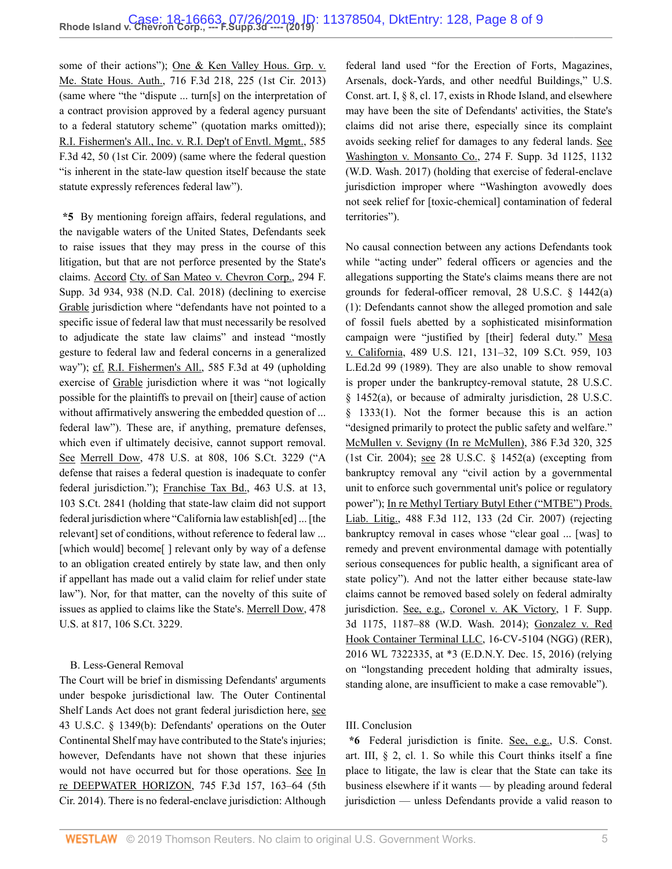some of their actions"); [One & Ken Valley Hous. Grp. v.](http://www.westlaw.com/Link/Document/FullText?findType=Y&serNum=2030535401&pubNum=0000506&originatingDoc=If1c91c40acc311e981b9f3f7c11376fd&refType=RP&fi=co_pp_sp_506_225&originationContext=document&vr=3.0&rs=cblt1.0&transitionType=DocumentItem&contextData=(sc.Search)#co_pp_sp_506_225) [Me. State Hous. Auth., 716 F.3d 218, 225 \(1st Cir. 2013\)](http://www.westlaw.com/Link/Document/FullText?findType=Y&serNum=2030535401&pubNum=0000506&originatingDoc=If1c91c40acc311e981b9f3f7c11376fd&refType=RP&fi=co_pp_sp_506_225&originationContext=document&vr=3.0&rs=cblt1.0&transitionType=DocumentItem&contextData=(sc.Search)#co_pp_sp_506_225) (same where "the "dispute ... turn[s] on the interpretation of a contract provision approved by a federal agency pursuant to a federal statutory scheme" (quotation marks omitted)); [R.I. Fishermen's All., Inc. v. R.I. Dep't of Envtl. Mgmt., 585](http://www.westlaw.com/Link/Document/FullText?findType=Y&serNum=2020192921&pubNum=0000506&originatingDoc=If1c91c40acc311e981b9f3f7c11376fd&refType=RP&fi=co_pp_sp_506_50&originationContext=document&vr=3.0&rs=cblt1.0&transitionType=DocumentItem&contextData=(sc.Search)#co_pp_sp_506_50) [F.3d 42, 50 \(1st Cir. 2009\)](http://www.westlaw.com/Link/Document/FullText?findType=Y&serNum=2020192921&pubNum=0000506&originatingDoc=If1c91c40acc311e981b9f3f7c11376fd&refType=RP&fi=co_pp_sp_506_50&originationContext=document&vr=3.0&rs=cblt1.0&transitionType=DocumentItem&contextData=(sc.Search)#co_pp_sp_506_50) (same where the federal question "is inherent in the state-law question itself because the state statute expressly references federal law").

**\*5** By mentioning foreign affairs, federal regulations, and the navigable waters of the United States, Defendants seek to raise issues that they may press in the course of this litigation, but that are not perforce presented by the State's claims. Accord [Cty. of San Mateo v. Chevron Corp., 294 F.](http://www.westlaw.com/Link/Document/FullText?findType=Y&serNum=2044125687&pubNum=0007903&originatingDoc=If1c91c40acc311e981b9f3f7c11376fd&refType=RP&fi=co_pp_sp_7903_938&originationContext=document&vr=3.0&rs=cblt1.0&transitionType=DocumentItem&contextData=(sc.Search)#co_pp_sp_7903_938) [Supp. 3d 934, 938 \(N.D. Cal. 2018\)](http://www.westlaw.com/Link/Document/FullText?findType=Y&serNum=2044125687&pubNum=0007903&originatingDoc=If1c91c40acc311e981b9f3f7c11376fd&refType=RP&fi=co_pp_sp_7903_938&originationContext=document&vr=3.0&rs=cblt1.0&transitionType=DocumentItem&contextData=(sc.Search)#co_pp_sp_7903_938) (declining to exercise [Grable](http://www.westlaw.com/Link/Document/FullText?findType=Y&serNum=2006791874&originatingDoc=If1c91c40acc311e981b9f3f7c11376fd&refType=RP&originationContext=document&vr=3.0&rs=cblt1.0&transitionType=DocumentItem&contextData=(sc.Search)) jurisdiction where "defendants have not pointed to a specific issue of federal law that must necessarily be resolved to adjudicate the state law claims" and instead "mostly gesture to federal law and federal concerns in a generalized way"); cf. [R.I. Fishermen's All., 585 F.3d at 49](http://www.westlaw.com/Link/Document/FullText?findType=Y&serNum=2020192921&pubNum=0000506&originatingDoc=If1c91c40acc311e981b9f3f7c11376fd&refType=RP&fi=co_pp_sp_506_49&originationContext=document&vr=3.0&rs=cblt1.0&transitionType=DocumentItem&contextData=(sc.Search)#co_pp_sp_506_49) (upholding exercise of [Grable](http://www.westlaw.com/Link/Document/FullText?findType=Y&serNum=2006791874&originatingDoc=If1c91c40acc311e981b9f3f7c11376fd&refType=RP&originationContext=document&vr=3.0&rs=cblt1.0&transitionType=DocumentItem&contextData=(sc.Search)) jurisdiction where it was "not logically possible for the plaintiffs to prevail on [their] cause of action without affirmatively answering the embedded question of ... federal law"). These are, if anything, premature defenses, which even if ultimately decisive, cannot support removal. See [Merrell Dow, 478 U.S. at 808, 106 S.Ct. 3229](http://www.westlaw.com/Link/Document/FullText?findType=Y&serNum=1986134547&pubNum=0000780&originatingDoc=If1c91c40acc311e981b9f3f7c11376fd&refType=RP&fi=co_pp_sp_780_808&originationContext=document&vr=3.0&rs=cblt1.0&transitionType=DocumentItem&contextData=(sc.Search)#co_pp_sp_780_808) ("A defense that raises a federal question is inadequate to confer federal jurisdiction."); [Franchise Tax Bd., 463 U.S. at 13,](http://www.westlaw.com/Link/Document/FullText?findType=Y&serNum=1983129660&pubNum=0000780&originatingDoc=If1c91c40acc311e981b9f3f7c11376fd&refType=RP&fi=co_pp_sp_780_13&originationContext=document&vr=3.0&rs=cblt1.0&transitionType=DocumentItem&contextData=(sc.Search)#co_pp_sp_780_13) [103 S.Ct. 2841](http://www.westlaw.com/Link/Document/FullText?findType=Y&serNum=1983129660&pubNum=0000780&originatingDoc=If1c91c40acc311e981b9f3f7c11376fd&refType=RP&fi=co_pp_sp_780_13&originationContext=document&vr=3.0&rs=cblt1.0&transitionType=DocumentItem&contextData=(sc.Search)#co_pp_sp_780_13) (holding that state-law claim did not support federal jurisdiction where "California law establish[ed] ... [the relevant] set of conditions, without reference to federal law ... [which would] become[] relevant only by way of a defense to an obligation created entirely by state law, and then only if appellant has made out a valid claim for relief under state law"). Nor, for that matter, can the novelty of this suite of issues as applied to claims like the State's. [Merrell Dow, 478](http://www.westlaw.com/Link/Document/FullText?findType=Y&serNum=1986134547&pubNum=0000780&originatingDoc=If1c91c40acc311e981b9f3f7c11376fd&refType=RP&fi=co_pp_sp_780_817&originationContext=document&vr=3.0&rs=cblt1.0&transitionType=DocumentItem&contextData=(sc.Search)#co_pp_sp_780_817) [U.S. at 817, 106 S.Ct. 3229.](http://www.westlaw.com/Link/Document/FullText?findType=Y&serNum=1986134547&pubNum=0000780&originatingDoc=If1c91c40acc311e981b9f3f7c11376fd&refType=RP&fi=co_pp_sp_780_817&originationContext=document&vr=3.0&rs=cblt1.0&transitionType=DocumentItem&contextData=(sc.Search)#co_pp_sp_780_817)

#### B. Less-General Removal

The Court will be brief in dismissing Defendants' arguments under bespoke jurisdictional law. The Outer Continental Shelf Lands Act does not grant federal jurisdiction here, see [43 U.S.C. § 1349\(b\):](http://www.westlaw.com/Link/Document/FullText?findType=L&pubNum=1000546&cite=43USCAS1349&originatingDoc=If1c91c40acc311e981b9f3f7c11376fd&refType=RB&originationContext=document&vr=3.0&rs=cblt1.0&transitionType=DocumentItem&contextData=(sc.Search)#co_pp_a83b000018c76) Defendants' operations on the Outer Continental Shelf may have contributed to the State's injuries; however, Defendants have not shown that these injuries would not have occurred but for those operations. See [In](http://www.westlaw.com/Link/Document/FullText?findType=Y&serNum=2032778690&pubNum=0000506&originatingDoc=If1c91c40acc311e981b9f3f7c11376fd&refType=RP&fi=co_pp_sp_506_163&originationContext=document&vr=3.0&rs=cblt1.0&transitionType=DocumentItem&contextData=(sc.Search)#co_pp_sp_506_163) [re DEEPWATER HORIZON, 745 F.3d 157, 163–64 \(5th](http://www.westlaw.com/Link/Document/FullText?findType=Y&serNum=2032778690&pubNum=0000506&originatingDoc=If1c91c40acc311e981b9f3f7c11376fd&refType=RP&fi=co_pp_sp_506_163&originationContext=document&vr=3.0&rs=cblt1.0&transitionType=DocumentItem&contextData=(sc.Search)#co_pp_sp_506_163) [Cir. 2014\)](http://www.westlaw.com/Link/Document/FullText?findType=Y&serNum=2032778690&pubNum=0000506&originatingDoc=If1c91c40acc311e981b9f3f7c11376fd&refType=RP&fi=co_pp_sp_506_163&originationContext=document&vr=3.0&rs=cblt1.0&transitionType=DocumentItem&contextData=(sc.Search)#co_pp_sp_506_163). There is no federal-enclave jurisdiction: Although federal land used "for the Erection of Forts, Magazines, Arsenals, dock-Yards, and other needful Buildings," [U.S.](http://www.westlaw.com/Link/Document/FullText?findType=L&pubNum=1000583&cite=USCOARTIS8CL17&originatingDoc=If1c91c40acc311e981b9f3f7c11376fd&refType=LQ&originationContext=document&vr=3.0&rs=cblt1.0&transitionType=DocumentItem&contextData=(sc.Search)) [Const. art. I, § 8, cl. 17,](http://www.westlaw.com/Link/Document/FullText?findType=L&pubNum=1000583&cite=USCOARTIS8CL17&originatingDoc=If1c91c40acc311e981b9f3f7c11376fd&refType=LQ&originationContext=document&vr=3.0&rs=cblt1.0&transitionType=DocumentItem&contextData=(sc.Search)) exists in Rhode Island, and elsewhere may have been the site of Defendants' activities, the State's claims did not arise there, especially since its complaint avoids seeking relief for damages to any federal lands. See [Washington v. Monsanto Co., 274 F. Supp. 3d 1125, 1132](http://www.westlaw.com/Link/Document/FullText?findType=Y&serNum=2042363972&pubNum=0007903&originatingDoc=If1c91c40acc311e981b9f3f7c11376fd&refType=RP&fi=co_pp_sp_7903_1132&originationContext=document&vr=3.0&rs=cblt1.0&transitionType=DocumentItem&contextData=(sc.Search)#co_pp_sp_7903_1132) [\(W.D. Wash. 2017\)](http://www.westlaw.com/Link/Document/FullText?findType=Y&serNum=2042363972&pubNum=0007903&originatingDoc=If1c91c40acc311e981b9f3f7c11376fd&refType=RP&fi=co_pp_sp_7903_1132&originationContext=document&vr=3.0&rs=cblt1.0&transitionType=DocumentItem&contextData=(sc.Search)#co_pp_sp_7903_1132) (holding that exercise of federal-enclave jurisdiction improper where "Washington avowedly does not seek relief for [toxic-chemical] contamination of federal territories").

No causal connection between any actions Defendants took while "acting under" federal officers or agencies and the allegations supporting the State's claims means there are not grounds for federal-officer removal, [28 U.S.C. § 1442\(a\)](http://www.westlaw.com/Link/Document/FullText?findType=L&pubNum=1000546&cite=28USCAS1442&originatingDoc=If1c91c40acc311e981b9f3f7c11376fd&refType=RB&originationContext=document&vr=3.0&rs=cblt1.0&transitionType=DocumentItem&contextData=(sc.Search)#co_pp_7b9b000044381) [\(1\):](http://www.westlaw.com/Link/Document/FullText?findType=L&pubNum=1000546&cite=28USCAS1442&originatingDoc=If1c91c40acc311e981b9f3f7c11376fd&refType=RB&originationContext=document&vr=3.0&rs=cblt1.0&transitionType=DocumentItem&contextData=(sc.Search)#co_pp_7b9b000044381) Defendants cannot show the alleged promotion and sale of fossil fuels abetted by a sophisticated misinformation campaign were "justified by [their] federal duty." [Mesa](http://www.westlaw.com/Link/Document/FullText?findType=Y&serNum=1989026579&pubNum=0000780&originatingDoc=If1c91c40acc311e981b9f3f7c11376fd&refType=RP&fi=co_pp_sp_780_131&originationContext=document&vr=3.0&rs=cblt1.0&transitionType=DocumentItem&contextData=(sc.Search)#co_pp_sp_780_131) [v. California, 489 U.S. 121, 131–32, 109 S.Ct. 959, 103](http://www.westlaw.com/Link/Document/FullText?findType=Y&serNum=1989026579&pubNum=0000780&originatingDoc=If1c91c40acc311e981b9f3f7c11376fd&refType=RP&fi=co_pp_sp_780_131&originationContext=document&vr=3.0&rs=cblt1.0&transitionType=DocumentItem&contextData=(sc.Search)#co_pp_sp_780_131) [L.Ed.2d 99 \(1989\).](http://www.westlaw.com/Link/Document/FullText?findType=Y&serNum=1989026579&pubNum=0000780&originatingDoc=If1c91c40acc311e981b9f3f7c11376fd&refType=RP&fi=co_pp_sp_780_131&originationContext=document&vr=3.0&rs=cblt1.0&transitionType=DocumentItem&contextData=(sc.Search)#co_pp_sp_780_131) They are also unable to show removal is proper under the bankruptcy-removal statute, [28 U.S.C.](http://www.westlaw.com/Link/Document/FullText?findType=L&pubNum=1000546&cite=28USCAS1452&originatingDoc=If1c91c40acc311e981b9f3f7c11376fd&refType=RB&originationContext=document&vr=3.0&rs=cblt1.0&transitionType=DocumentItem&contextData=(sc.Search)#co_pp_8b3b0000958a4) [§ 1452\(a\)](http://www.westlaw.com/Link/Document/FullText?findType=L&pubNum=1000546&cite=28USCAS1452&originatingDoc=If1c91c40acc311e981b9f3f7c11376fd&refType=RB&originationContext=document&vr=3.0&rs=cblt1.0&transitionType=DocumentItem&contextData=(sc.Search)#co_pp_8b3b0000958a4), or because of admiralty jurisdiction, [28 U.S.C.](http://www.westlaw.com/Link/Document/FullText?findType=L&pubNum=1000546&cite=28USCAS1333&originatingDoc=If1c91c40acc311e981b9f3f7c11376fd&refType=RB&originationContext=document&vr=3.0&rs=cblt1.0&transitionType=DocumentItem&contextData=(sc.Search)#co_pp_f1c50000821b0) [§ 1333\(1\).](http://www.westlaw.com/Link/Document/FullText?findType=L&pubNum=1000546&cite=28USCAS1333&originatingDoc=If1c91c40acc311e981b9f3f7c11376fd&refType=RB&originationContext=document&vr=3.0&rs=cblt1.0&transitionType=DocumentItem&contextData=(sc.Search)#co_pp_f1c50000821b0) Not the former because this is an action "designed primarily to protect the public safety and welfare." [McMullen v. Sevigny \(In re McMullen\), 386 F.3d 320, 325](http://www.westlaw.com/Link/Document/FullText?findType=Y&serNum=2005361710&pubNum=0000506&originatingDoc=If1c91c40acc311e981b9f3f7c11376fd&refType=RP&fi=co_pp_sp_506_325&originationContext=document&vr=3.0&rs=cblt1.0&transitionType=DocumentItem&contextData=(sc.Search)#co_pp_sp_506_325) [\(1st Cir. 2004\);](http://www.westlaw.com/Link/Document/FullText?findType=Y&serNum=2005361710&pubNum=0000506&originatingDoc=If1c91c40acc311e981b9f3f7c11376fd&refType=RP&fi=co_pp_sp_506_325&originationContext=document&vr=3.0&rs=cblt1.0&transitionType=DocumentItem&contextData=(sc.Search)#co_pp_sp_506_325) see [28 U.S.C. § 1452\(a\)](http://www.westlaw.com/Link/Document/FullText?findType=L&pubNum=1000546&cite=28USCAS1452&originatingDoc=If1c91c40acc311e981b9f3f7c11376fd&refType=RB&originationContext=document&vr=3.0&rs=cblt1.0&transitionType=DocumentItem&contextData=(sc.Search)#co_pp_8b3b0000958a4) (excepting from bankruptcy removal any "civil action by a governmental unit to enforce such governmental unit's police or regulatory power"); [In re Methyl Tertiary Butyl Ether \("MTBE"\) Prods.](http://www.westlaw.com/Link/Document/FullText?findType=Y&serNum=2012322768&pubNum=0000506&originatingDoc=If1c91c40acc311e981b9f3f7c11376fd&refType=RP&fi=co_pp_sp_506_133&originationContext=document&vr=3.0&rs=cblt1.0&transitionType=DocumentItem&contextData=(sc.Search)#co_pp_sp_506_133) [Liab. Litig., 488 F.3d 112, 133 \(2d Cir. 2007\)](http://www.westlaw.com/Link/Document/FullText?findType=Y&serNum=2012322768&pubNum=0000506&originatingDoc=If1c91c40acc311e981b9f3f7c11376fd&refType=RP&fi=co_pp_sp_506_133&originationContext=document&vr=3.0&rs=cblt1.0&transitionType=DocumentItem&contextData=(sc.Search)#co_pp_sp_506_133) (rejecting bankruptcy removal in cases whose "clear goal ... [was] to remedy and prevent environmental damage with potentially serious consequences for public health, a significant area of state policy"). And not the latter either because state-law claims cannot be removed based solely on federal admiralty jurisdiction. See, e.g., [Coronel v. AK Victory, 1 F. Supp.](http://www.westlaw.com/Link/Document/FullText?findType=Y&serNum=2032820640&pubNum=0007903&originatingDoc=If1c91c40acc311e981b9f3f7c11376fd&refType=RP&fi=co_pp_sp_7903_1187&originationContext=document&vr=3.0&rs=cblt1.0&transitionType=DocumentItem&contextData=(sc.Search)#co_pp_sp_7903_1187) [3d 1175, 1187–88 \(W.D. Wash. 2014\)](http://www.westlaw.com/Link/Document/FullText?findType=Y&serNum=2032820640&pubNum=0007903&originatingDoc=If1c91c40acc311e981b9f3f7c11376fd&refType=RP&fi=co_pp_sp_7903_1187&originationContext=document&vr=3.0&rs=cblt1.0&transitionType=DocumentItem&contextData=(sc.Search)#co_pp_sp_7903_1187); [Gonzalez v. Red](http://www.westlaw.com/Link/Document/FullText?findType=Y&serNum=2040541596&pubNum=0000999&originatingDoc=If1c91c40acc311e981b9f3f7c11376fd&refType=RP&originationContext=document&vr=3.0&rs=cblt1.0&transitionType=DocumentItem&contextData=(sc.Search)) [Hook Container Terminal LLC, 16-CV-5104 \(NGG\) \(RER\),](http://www.westlaw.com/Link/Document/FullText?findType=Y&serNum=2040541596&pubNum=0000999&originatingDoc=If1c91c40acc311e981b9f3f7c11376fd&refType=RP&originationContext=document&vr=3.0&rs=cblt1.0&transitionType=DocumentItem&contextData=(sc.Search)) [2016 WL 7322335, at \\*3 \(E.D.N.Y. Dec. 15, 2016\)](http://www.westlaw.com/Link/Document/FullText?findType=Y&serNum=2040541596&pubNum=0000999&originatingDoc=If1c91c40acc311e981b9f3f7c11376fd&refType=RP&originationContext=document&vr=3.0&rs=cblt1.0&transitionType=DocumentItem&contextData=(sc.Search)) (relying on "longstanding precedent holding that admiralty issues, standing alone, are insufficient to make a case removable").

#### III. Conclusion

**\*6** Federal jurisdiction is finite. See, e.g., [U.S. Const.](http://www.westlaw.com/Link/Document/FullText?findType=L&pubNum=1000583&cite=USCOARTIIIS2CL1&originatingDoc=If1c91c40acc311e981b9f3f7c11376fd&refType=LQ&originationContext=document&vr=3.0&rs=cblt1.0&transitionType=DocumentItem&contextData=(sc.Search)) [art. III, § 2, cl. 1](http://www.westlaw.com/Link/Document/FullText?findType=L&pubNum=1000583&cite=USCOARTIIIS2CL1&originatingDoc=If1c91c40acc311e981b9f3f7c11376fd&refType=LQ&originationContext=document&vr=3.0&rs=cblt1.0&transitionType=DocumentItem&contextData=(sc.Search)). So while this Court thinks itself a fine place to litigate, the law is clear that the State can take its business elsewhere if it wants — by pleading around federal jurisdiction — unless Defendants provide a valid reason to